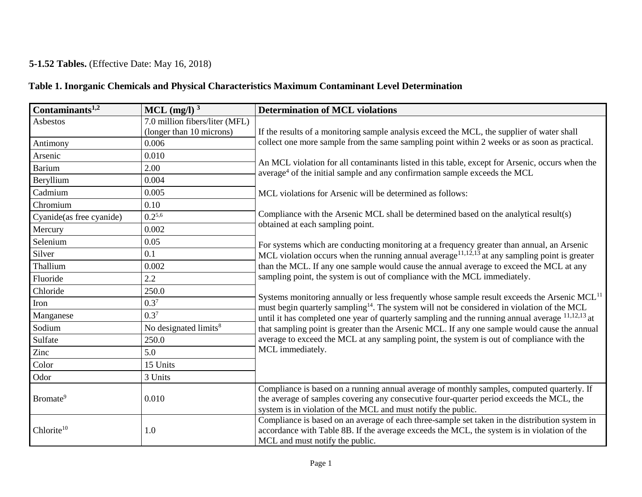## **5-1.52 [Tables.](file:///C:/Documents%20and%20Settings/jct02/tfh01/Application%20Data/Application%20Data/Microsoft/Word/tables.htm)** (Effective Date: May 16, 2018)

## **Table 1. Inorganic Chemicals and Physical Characteristics Maximum Contaminant Level Determination**

| Contaminants $1,2$       | $MCL$ (mg/l) $^3$                 | <b>Determination of MCL violations</b>                                                                                                                                                                                                                  |  |  |  |  |
|--------------------------|-----------------------------------|---------------------------------------------------------------------------------------------------------------------------------------------------------------------------------------------------------------------------------------------------------|--|--|--|--|
| Asbestos                 | 7.0 million fibers/liter (MFL)    |                                                                                                                                                                                                                                                         |  |  |  |  |
|                          | (longer than 10 microns)          | If the results of a monitoring sample analysis exceed the MCL, the supplier of water shall                                                                                                                                                              |  |  |  |  |
| Antimony                 | 0.006                             | collect one more sample from the same sampling point within 2 weeks or as soon as practical.                                                                                                                                                            |  |  |  |  |
| Arsenic                  | 0.010                             |                                                                                                                                                                                                                                                         |  |  |  |  |
| <b>Barium</b>            | 2.00                              | An MCL violation for all contaminants listed in this table, except for Arsenic, occurs when the<br>average <sup>4</sup> of the initial sample and any confirmation sample exceeds the MCL                                                               |  |  |  |  |
| Beryllium                | 0.004                             |                                                                                                                                                                                                                                                         |  |  |  |  |
| Cadmium                  | 0.005                             | MCL violations for Arsenic will be determined as follows:                                                                                                                                                                                               |  |  |  |  |
| Chromium                 | 0.10                              |                                                                                                                                                                                                                                                         |  |  |  |  |
| Cyanide(as free cyanide) | $0.2^{5,6}$                       | Compliance with the Arsenic MCL shall be determined based on the analytical result(s)                                                                                                                                                                   |  |  |  |  |
| Mercury                  | 0.002                             | obtained at each sampling point.                                                                                                                                                                                                                        |  |  |  |  |
| Selenium                 | 0.05                              | For systems which are conducting monitoring at a frequency greater than annual, an Arsenic                                                                                                                                                              |  |  |  |  |
| Silver                   | 0.1                               | MCL violation occurs when the running annual average $11,12,13$ at any sampling point is greater                                                                                                                                                        |  |  |  |  |
| Thallium                 | 0.002                             | than the MCL. If any one sample would cause the annual average to exceed the MCL at any                                                                                                                                                                 |  |  |  |  |
| Fluoride                 | 2.2                               | sampling point, the system is out of compliance with the MCL immediately.                                                                                                                                                                               |  |  |  |  |
| Chloride                 | 250.0                             |                                                                                                                                                                                                                                                         |  |  |  |  |
| Iron                     | $0.3^7$                           | Systems monitoring annually or less frequently whose sample result exceeds the Arsenic MCL <sup>11</sup><br>must begin quarterly sampling <sup>14</sup> . The system will not be considered in violation of the MCL                                     |  |  |  |  |
| Manganese                | $0.3^7$                           | until it has completed one year of quarterly sampling and the running annual average $11,12,13$ at                                                                                                                                                      |  |  |  |  |
| Sodium                   | No designated limits <sup>8</sup> | that sampling point is greater than the Arsenic MCL. If any one sample would cause the annual                                                                                                                                                           |  |  |  |  |
| Sulfate                  | 250.0                             | average to exceed the MCL at any sampling point, the system is out of compliance with the                                                                                                                                                               |  |  |  |  |
| Zinc                     | 5.0                               | MCL immediately.                                                                                                                                                                                                                                        |  |  |  |  |
| Color                    | 15 Units                          |                                                                                                                                                                                                                                                         |  |  |  |  |
| Odor                     | 3 Units                           |                                                                                                                                                                                                                                                         |  |  |  |  |
| Bromate <sup>9</sup>     | 0.010                             | Compliance is based on a running annual average of monthly samples, computed quarterly. If<br>the average of samples covering any consecutive four-quarter period exceeds the MCL, the<br>system is in violation of the MCL and must notify the public. |  |  |  |  |
| Chlorite <sup>10</sup>   | 1.0                               | Compliance is based on an average of each three-sample set taken in the distribution system in<br>accordance with Table 8B. If the average exceeds the MCL, the system is in violation of the<br>MCL and must notify the public.                        |  |  |  |  |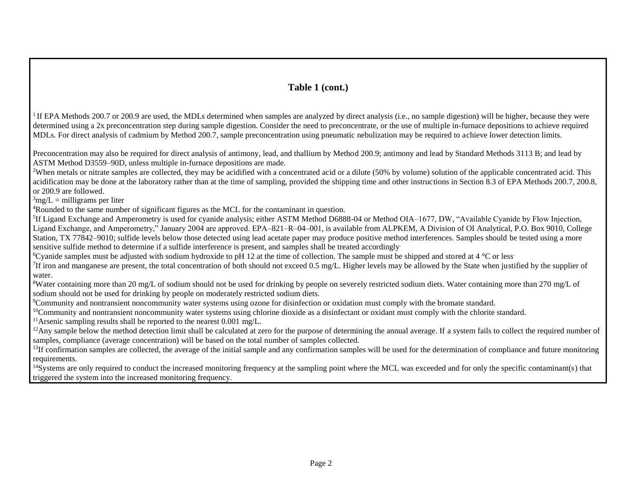#### **Table 1 (cont.)**

<sup>1</sup>If EPA Methods 200.7 or 200.9 are used, the MDLs determined when samples are analyzed by direct analysis (i.e., no sample digestion) will be higher, because they were determined using a 2x preconcentration step during sample digestion. Consider the need to preconcentrate, or the use of multiple in-furnace depositions to achieve required MDLs. For direct analysis of cadmium by Method 200.7, sample preconcentration using pneumatic nebulization may be required to achieve lower detection limits.

Preconcentration may also be required for direct analysis of antimony, lead, and thallium by Method 200.9; antimony and lead by Standard Methods 3113 B; and lead by ASTM Method D3559–90D, unless multiple in-furnace depositions are made.

<sup>2</sup>When metals or nitrate samples are collected, they may be acidified with a concentrated acid or a dilute (50% by volume) solution of the applicable concentrated acid. This acidification may be done at the laboratory rather than at the time of sampling, provided the shipping time and other instructions in Section 8.3 of EPA Methods 200.7, 200.8, or 200.9 are followed.

 $\frac{3}{\text{mg}}$ /L = milligrams per liter

<sup>4</sup>Rounded to the same number of significant figures as the MCL for the contaminant in question.

<sup>5</sup>If Ligand Exchange and Amperometry is used for cyanide analysis; either ASTM Method D6888-04 or Method OIA-1677, DW, "Available Cyanide by Flow Injection, Ligand Exchange, and Amperometry," January 2004 are approved. EPA–821–R–04–001, is available from ALPKEM, A Division of OI Analytical, P.O. Box 9010, College Station, TX 77842–9010; sulfide levels below those detected using lead acetate paper may produce positive method interferences. Samples should be tested using a more sensitive sulfide method to determine if a sulfide interference is present, and samples shall be treated accordingly.

<sup>6</sup>Cyanide samples must be adjusted with sodium hydroxide to pH 12 at the time of collection. The sample must be shipped and stored at 4  $\degree$ C or less.

<sup>7</sup>If iron and manganese are present, the total concentration of both should not exceed 0.5 mg/L. Higher levels may be allowed by the State when justified by the supplier of water.

<sup>8</sup>Water containing more than 20 mg/L of sodium should not be used for drinking by people on severely restricted sodium diets. Water containing more than 270 mg/L of sodium should not be used for drinking by people on moderately restricted sodium diets.

<sup>9</sup>Community and nontransient noncommunity water systems using ozone for disinfection or oxidation must comply with the bromate standard.

<sup>10</sup>Community and nontransient noncommunity water systems using chlorine dioxide as a disinfectant or oxidant must comply with the chlorite standard.

<sup>11</sup>Arsenic sampling results shall be reported to the nearest 0.001 mg/L.

 $12$ Any sample below the method detection limit shall be calculated at zero for the purpose of determining the annual average. If a system fails to collect the required number of samples, compliance (average concentration) will be based on the total number of samples collected.

<sup>13</sup>If confirmation samples are collected, the average of the initial sample and any confirmation samples will be used for the determination of compliance and future monitoring requirements.

<sup>14</sup>Systems are only required to conduct the increased monitoring frequency at the sampling point where the MCL was exceeded and for only the specific contaminant(s) that triggered the system into the increased monitoring frequency.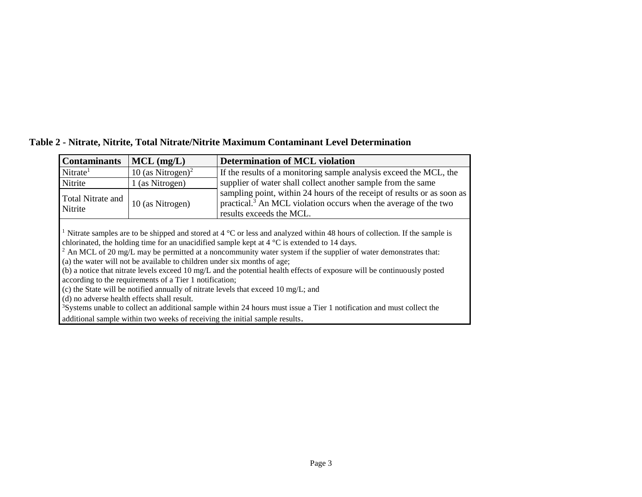| $MCL$ (mg/L)                  | <b>Determination of MCL violation</b>                                                                                                                                              |
|-------------------------------|------------------------------------------------------------------------------------------------------------------------------------------------------------------------------------|
| 10 (as Nitrogen) <sup>2</sup> | If the results of a monitoring sample analysis exceed the MCL, the                                                                                                                 |
| 1 (as Nitrogen)               | supplier of water shall collect another sample from the same                                                                                                                       |
| 10 (as Nitrogen)              | sampling point, within 24 hours of the receipt of results or as soon as<br>practical. <sup>3</sup> An MCL violation occurs when the average of the two<br>results exceeds the MCL. |
|                               |                                                                                                                                                                                    |

#### **Table 2 - Nitrate, Nitrite, Total Nitrate/Nitrite Maximum Contaminant Level Determination**

(b) a notice that nitrate levels exceed 10 mg/L and the potential health effects of exposure will be continuously posted according to the requirements of a Tier 1 notification;

(c) the State will be notified annually of nitrate levels that exceed 10 mg/L; and

(d) no adverse health effects shall result.

<sup>3</sup>Systems unable to collect an additional sample within 24 hours must issue a Tier 1 notification and must collect the

additional sample within two weeks of receiving the initial sample results.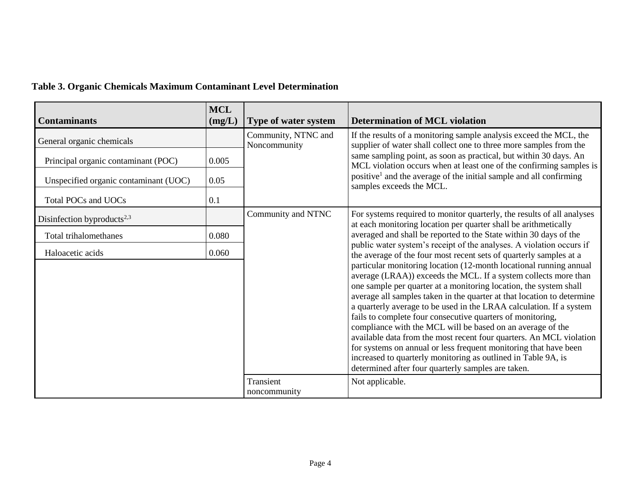| Table 3. Organic Chemicals Maximum Contaminant Level Determination |  |  |
|--------------------------------------------------------------------|--|--|
|--------------------------------------------------------------------|--|--|

| <b>Contaminants</b>                    | <b>MCL</b><br>(mg/L) | Type of water system                | <b>Determination of MCL violation</b>                                                                                                                                                                                                                                                                                                                                                                                                                                                                                                                                                                                                                                                                                                                                                                                                                                                                   |  |  |
|----------------------------------------|----------------------|-------------------------------------|---------------------------------------------------------------------------------------------------------------------------------------------------------------------------------------------------------------------------------------------------------------------------------------------------------------------------------------------------------------------------------------------------------------------------------------------------------------------------------------------------------------------------------------------------------------------------------------------------------------------------------------------------------------------------------------------------------------------------------------------------------------------------------------------------------------------------------------------------------------------------------------------------------|--|--|
| General organic chemicals              |                      | Community, NTNC and<br>Noncommunity | If the results of a monitoring sample analysis exceed the MCL, the<br>supplier of water shall collect one to three more samples from the                                                                                                                                                                                                                                                                                                                                                                                                                                                                                                                                                                                                                                                                                                                                                                |  |  |
| Principal organic contaminant (POC)    | 0.005                |                                     | same sampling point, as soon as practical, but within 30 days. An<br>MCL violation occurs when at least one of the confirming samples is                                                                                                                                                                                                                                                                                                                                                                                                                                                                                                                                                                                                                                                                                                                                                                |  |  |
| Unspecified organic contaminant (UOC)  | 0.05                 |                                     | positive <sup>1</sup> and the average of the initial sample and all confirming<br>samples exceeds the MCL.                                                                                                                                                                                                                                                                                                                                                                                                                                                                                                                                                                                                                                                                                                                                                                                              |  |  |
| Total POCs and UOCs                    | 0.1                  |                                     |                                                                                                                                                                                                                                                                                                                                                                                                                                                                                                                                                                                                                                                                                                                                                                                                                                                                                                         |  |  |
| Disinfection byproducts <sup>2,3</sup> |                      | Community and NTNC                  | For systems required to monitor quarterly, the results of all analyses<br>at each monitoring location per quarter shall be arithmetically                                                                                                                                                                                                                                                                                                                                                                                                                                                                                                                                                                                                                                                                                                                                                               |  |  |
| <b>Total trihalomethanes</b>           | 0.080                |                                     | averaged and shall be reported to the State within 30 days of the                                                                                                                                                                                                                                                                                                                                                                                                                                                                                                                                                                                                                                                                                                                                                                                                                                       |  |  |
| Haloacetic acids                       | 0.060                |                                     | public water system's receipt of the analyses. A violation occurs if<br>the average of the four most recent sets of quarterly samples at a<br>particular monitoring location (12-month locational running annual<br>average (LRAA)) exceeds the MCL. If a system collects more than<br>one sample per quarter at a monitoring location, the system shall<br>average all samples taken in the quarter at that location to determine<br>a quarterly average to be used in the LRAA calculation. If a system<br>fails to complete four consecutive quarters of monitoring,<br>compliance with the MCL will be based on an average of the<br>available data from the most recent four quarters. An MCL violation<br>for systems on annual or less frequent monitoring that have been<br>increased to quarterly monitoring as outlined in Table 9A, is<br>determined after four quarterly samples are taken. |  |  |
|                                        |                      | Transient<br>noncommunity           | Not applicable.                                                                                                                                                                                                                                                                                                                                                                                                                                                                                                                                                                                                                                                                                                                                                                                                                                                                                         |  |  |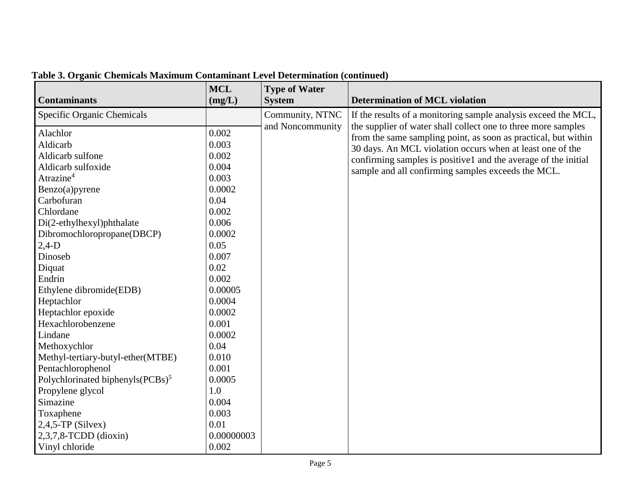| <b>Contaminants</b>                                                                                                                                                                                                                                                                                                                                                                                                                                                                     | <b>MCL</b><br>(mg/L)                                                                                                                                                                                                   | <b>Type of Water</b><br><b>System</b> | <b>Determination of MCL violation</b>                                                                                                                                                                                                                                                                                |
|-----------------------------------------------------------------------------------------------------------------------------------------------------------------------------------------------------------------------------------------------------------------------------------------------------------------------------------------------------------------------------------------------------------------------------------------------------------------------------------------|------------------------------------------------------------------------------------------------------------------------------------------------------------------------------------------------------------------------|---------------------------------------|----------------------------------------------------------------------------------------------------------------------------------------------------------------------------------------------------------------------------------------------------------------------------------------------------------------------|
| Specific Organic Chemicals                                                                                                                                                                                                                                                                                                                                                                                                                                                              |                                                                                                                                                                                                                        | Community, NTNC                       | If the results of a monitoring sample analysis exceed the MCL,                                                                                                                                                                                                                                                       |
| Alachlor<br>Aldicarb<br>Aldicarb sulfone<br>Aldicarb sulfoxide<br>Atrazine <sup>4</sup><br>Benzo(a)pyrene<br>Carbofuran<br>Chlordane<br>Di(2-ethylhexyl)phthalate<br>Dibromochloropropane(DBCP)<br>$2,4-D$<br>Dinoseb<br>Diquat<br>Endrin<br>Ethylene dibromide(EDB)<br>Heptachlor<br>Heptachlor epoxide<br>Hexachlorobenzene<br>Lindane<br>Methoxychlor<br>Methyl-tertiary-butyl-ether(MTBE)<br>Pentachlorophenol<br>Polychlorinated biphenyls (PCBs) <sup>5</sup><br>Propylene glycol | 0.002<br>0.003<br>0.002<br>0.004<br>0.003<br>0.0002<br>0.04<br>0.002<br>0.006<br>0.0002<br>0.05<br>0.007<br>0.02<br>0.002<br>0.00005<br>0.0004<br>0.0002<br>0.001<br>0.0002<br>0.04<br>0.010<br>0.001<br>0.0005<br>1.0 | and Noncommunity                      | the supplier of water shall collect one to three more samples<br>from the same sampling point, as soon as practical, but within<br>30 days. An MCL violation occurs when at least one of the<br>confirming samples is positive1 and the average of the initial<br>sample and all confirming samples exceeds the MCL. |
| Simazine<br>Toxaphene<br>$2,4,5$ -TP (Silvex)                                                                                                                                                                                                                                                                                                                                                                                                                                           | 0.004<br>0.003<br>0.01                                                                                                                                                                                                 |                                       |                                                                                                                                                                                                                                                                                                                      |
| $2,3,7,8$ -TCDD (dioxin)<br>Vinyl chloride                                                                                                                                                                                                                                                                                                                                                                                                                                              | 0.00000003<br>0.002                                                                                                                                                                                                    |                                       |                                                                                                                                                                                                                                                                                                                      |

**Table 3. Organic Chemicals Maximum Contaminant Level Determination (continued)**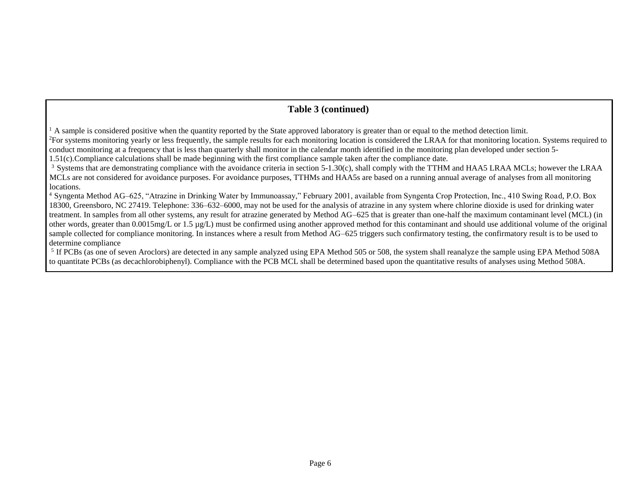#### **Table 3 (continued)**

 $<sup>1</sup>$  A sample is considered positive when the quantity reported by the State approved laboratory is greater than or equal to the method detection limit.</sup>

<sup>2</sup>For systems monitoring yearly or less frequently, the sample results for each monitoring location is considered the LRAA for that monitoring location. Systems required to conduct monitoring at a frequency that is less than quarterly shall monitor in the calendar month identified in the monitoring plan developed under section 5- 1.51(c).Compliance calculations shall be made beginning with the first compliance sample taken after the compliance date.

<sup>3</sup> Systems that are demonstrating compliance with the avoidance criteria in section 5-1.30(c), shall comply with the TTHM and HAA5 LRAA MCLs; however the LRAA MCLs are not considered for avoidance purposes. For avoidance purposes, TTHMs and HAA5s are based on a running annual average of analyses from all monitoring locations.

<sup>4</sup> Syngenta Method AG–625, "Atrazine in Drinking Water by Immunoassay," February 2001, available from Syngenta Crop Protection, Inc., 410 Swing Road, P.O. Box 18300, Greensboro, NC 27419. Telephone: 336–632–6000, may not be used for the analysis of atrazine in any system where chlorine dioxide is used for drinking water treatment. In samples from all other systems, any result for atrazine generated by Method AG–625 that is greater than one-half the maximum contaminant level (MCL) (in other words, greater than  $0.0015mg/L$  or  $1.5 \mu g/L$ ) must be confirmed using another approved method for this contaminant and should use additional volume of the original sample collected for compliance monitoring. In instances where a result from Method AG–625 triggers such confirmatory testing, the confirmatory result is to be used to determine compliance

<sup>5</sup> If PCBs (as one of seven Aroclors) are detected in any sample analyzed using EPA Method 505 or 508, the system shall reanalyze the sample using EPA Method 508A to quantitate PCBs (as decachlorobiphenyl). Compliance with the PCB MCL shall be determined based upon the quantitative results of analyses using Method 508A.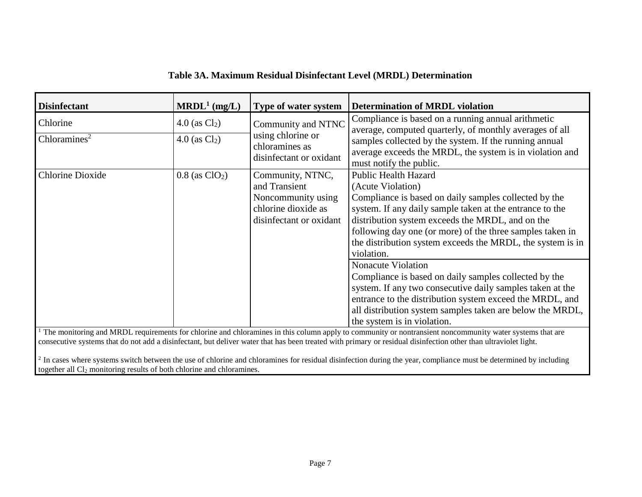| Table 3A. Maximum Residual Disinfectant Level (MRDL) Determination |  |  |  |  |  |
|--------------------------------------------------------------------|--|--|--|--|--|
|--------------------------------------------------------------------|--|--|--|--|--|

| <b>Disinfectant</b>                  | $MRDL1$ (mg/L)                     | Type of water system                                                                                      | <b>Determination of MRDL violation</b>                                                                                                                                                                                                                                                                                                                                                                                                                                                                                                                                                                                                                                        |
|--------------------------------------|------------------------------------|-----------------------------------------------------------------------------------------------------------|-------------------------------------------------------------------------------------------------------------------------------------------------------------------------------------------------------------------------------------------------------------------------------------------------------------------------------------------------------------------------------------------------------------------------------------------------------------------------------------------------------------------------------------------------------------------------------------------------------------------------------------------------------------------------------|
| Chlorine<br>Chloramines <sup>2</sup> | 4.0 (as $Cl2$ )<br>4.0 (as $Cl2$ ) | Community and NTNC<br>using chlorine or<br>chloramines as<br>disinfectant or oxidant                      | Compliance is based on a running annual arithmetic<br>average, computed quarterly, of monthly averages of all<br>samples collected by the system. If the running annual<br>average exceeds the MRDL, the system is in violation and<br>must notify the public.                                                                                                                                                                                                                                                                                                                                                                                                                |
| Chlorine Dioxide                     | $0.8$ (as $ClO2$ )                 | Community, NTNC,<br>and Transient<br>Noncommunity using<br>chlorine dioxide as<br>disinfectant or oxidant | <b>Public Health Hazard</b><br>(Acute Violation)<br>Compliance is based on daily samples collected by the<br>system. If any daily sample taken at the entrance to the<br>distribution system exceeds the MRDL, and on the<br>following day one (or more) of the three samples taken in<br>the distribution system exceeds the MRDL, the system is in<br>violation.<br><b>Nonacute Violation</b><br>Compliance is based on daily samples collected by the<br>system. If any two consecutive daily samples taken at the<br>entrance to the distribution system exceed the MRDL, and<br>all distribution system samples taken are below the MRDL,<br>the system is in violation. |
|                                      |                                    |                                                                                                           | The monitoring and MRDL requirements for chlorine and chloramines in this column apply to community or nontransient noncommunity water systems that are<br>consecutive systems that do not add a disinfectant, but deliver water that has been treated with primary or residual disinfection other than ultraviolet light.                                                                                                                                                                                                                                                                                                                                                    |

 $2$  In cases where systems switch between the use of chlorine and chloramines for residual disinfection during the year, compliance must be determined by including together all  $Cl<sub>2</sub>$  monitoring results of both chlorine and chloramines.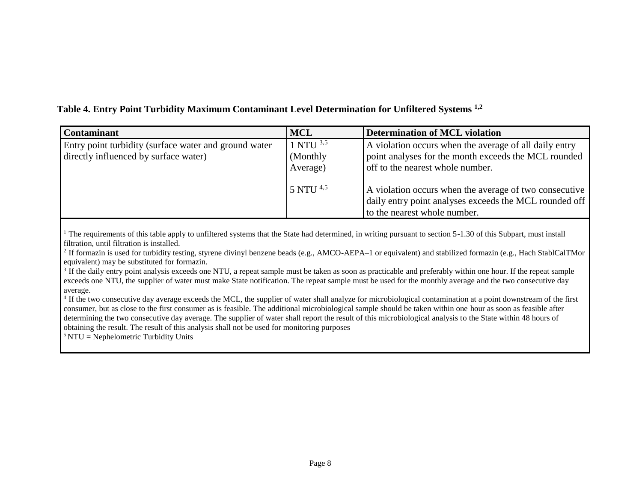#### **Table 4. Entry Point Turbidity Maximum Contaminant Level Determination for Unfiltered Systems 1,2**

| <b>Contaminant</b>                                                                             | <b>MCL</b>                              | Determination of MCL violation                                                                                                                     |
|------------------------------------------------------------------------------------------------|-----------------------------------------|----------------------------------------------------------------------------------------------------------------------------------------------------|
| Entry point turbidity (surface water and ground water<br>directly influenced by surface water) | 1 NTU $^{3,5}$<br>(Monthly)<br>Average) | A violation occurs when the average of all daily entry<br>point analyses for the month exceeds the MCL rounded<br>off to the nearest whole number. |
|                                                                                                | 5 NTU $4.5$                             | A violation occurs when the average of two consecutive<br>daily entry point analyses exceeds the MCL rounded off<br>to the nearest whole number.   |

<sup>1</sup> The requirements of this table apply to unfiltered systems that the State had determined, in writing pursuant to section 5-1.30 of this Subpart, must install filtration, until filtration is installed.

<sup>2</sup> If formazin is used for turbidity testing, styrene divinyl benzene beads (e.g., AMCO-AEPA–1 or equivalent) and stabilized formazin (e.g., Hach StablCalTMor equivalent) may be substituted for formazin.

 $3$  If the daily entry point analysis exceeds one NTU, a repeat sample must be taken as soon as practicable and preferably within one hour. If the repeat sample exceeds one NTU, the supplier of water must make State notification. The repeat sample must be used for the monthly average and the two consecutive day average.

<sup>4</sup> If the two consecutive day average exceeds the MCL, the supplier of water shall analyze for microbiological contamination at a point downstream of the first consumer, but as close to the first consumer as is feasible. The additional microbiological sample should be taken within one hour as soon as feasible after determining the two consecutive day average. The supplier of water shall report the result of this microbiological analysis to the State within 48 hours of obtaining the result. The result of this analysis shall not be used for monitoring purposes

 $5$  NTU = Nephelometric Turbidity Units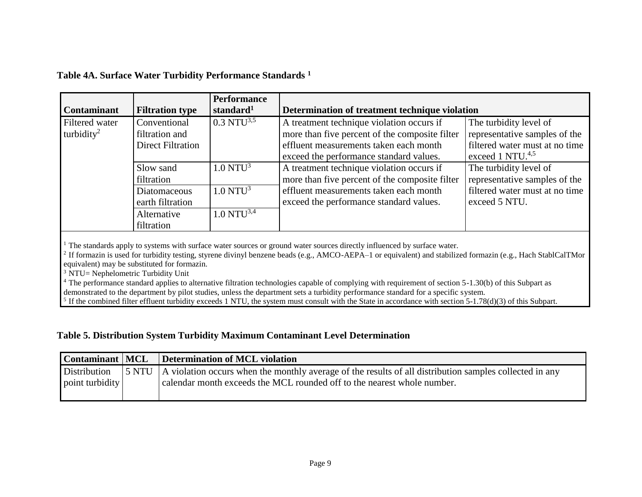|  |  | Table 4A. Surface Water Turbidity Performance Standards <sup>1</sup> |  |
|--|--|----------------------------------------------------------------------|--|
|  |  |                                                                      |  |

| <b>Contaminant</b>                       | <b>Filtration type</b>                              | <b>Performance</b><br>standard <sup>1</sup> | Determination of treatment technique violation                                                                                                                                   |                                                                                                                           |
|------------------------------------------|-----------------------------------------------------|---------------------------------------------|----------------------------------------------------------------------------------------------------------------------------------------------------------------------------------|---------------------------------------------------------------------------------------------------------------------------|
| Filtered water<br>turbidity <sup>2</sup> | Conventional<br>filtration and<br>Direct Filtration | $0.3$ NTU <sup>3,5</sup>                    | A treatment technique violation occurs if<br>more than five percent of the composite filter<br>effluent measurements taken each month<br>exceed the performance standard values. | The turbidity level of<br>representative samples of the<br>filtered water must at no time<br>exceed 1 NTU. <sup>4,5</sup> |
|                                          | Slow sand<br>filtration                             | $1.0$ NTU <sup>3</sup>                      | A treatment technique violation occurs if<br>more than five percent of the composite filter                                                                                      | The turbidity level of<br>representative samples of the                                                                   |
|                                          | Diatomaceous<br>earth filtration                    | $1.0$ NTU <sup>3</sup><br>$1.0 N T U^{3,4}$ | effluent measurements taken each month<br>exceed the performance standard values.                                                                                                | filtered water must at no time<br>exceed 5 NTU.                                                                           |
|                                          | Alternative<br>filtration                           |                                             |                                                                                                                                                                                  |                                                                                                                           |

<sup>1</sup> The standards apply to systems with surface water sources or ground water sources directly influenced by surface water.

<sup>2</sup> If formazin is used for turbidity testing, styrene divinyl benzene beads (e.g., AMCO-AEPA–1 or equivalent) and stabilized formazin (e.g., Hach StablCalTMor equivalent) may be substituted for formazin.

<sup>3</sup> NTU= Nephelometric Turbidity Unit

<sup>4</sup> The performance standard applies to alternative filtration technologies capable of complying with requirement of section 5-1.30(b) of this Subpart as

demonstrated to the department by pilot studies, unless the department sets a turbidity performance standard for a specific system.

<sup>5</sup> If the combined filter effluent turbidity exceeds 1 NTU, the system must consult with the State in accordance with section 5-1.78(d)(3) of this Subpart.

#### **Table 5. Distribution System Turbidity Maximum Contaminant Level Determination**

| Contaminant   MCL | Determination of MCL violation                                                                                                |
|-------------------|-------------------------------------------------------------------------------------------------------------------------------|
| Distribution      | $\vert$ 5 NTU $\vert$ A violation occurs when the monthly average of the results of all distribution samples collected in any |
| point turbidity   | calendar month exceeds the MCL rounded off to the nearest whole number.                                                       |
|                   |                                                                                                                               |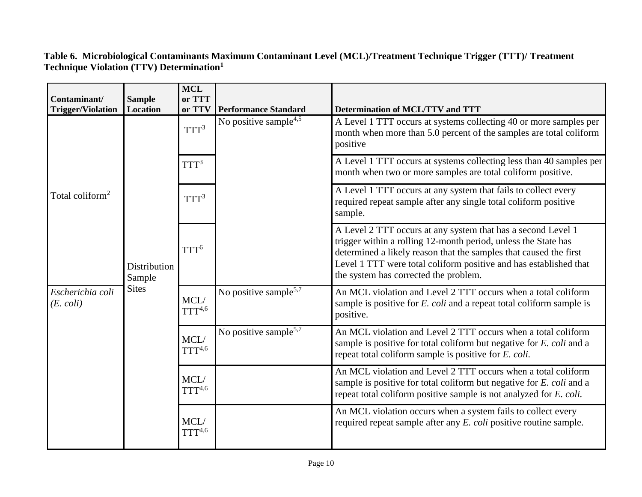**Table 6. Microbiological Contaminants Maximum Contaminant Level (MCL)/Treatment Technique Trigger (TTT)/ Treatment Technique Violation (TTV) Determination<sup>1</sup>**

| Contaminant/<br><b>Trigger/Violation</b> | <b>Sample</b><br><b>Location</b> | <b>MCL</b><br>or TTT<br>or TTV | <b>Performance Standard</b>       | <b>Determination of MCL/TTV and TTT</b>                                                                                                                                                                                                                                                                           |
|------------------------------------------|----------------------------------|--------------------------------|-----------------------------------|-------------------------------------------------------------------------------------------------------------------------------------------------------------------------------------------------------------------------------------------------------------------------------------------------------------------|
|                                          |                                  | $TTT^3$                        | No positive sample <sup>4,5</sup> | A Level 1 TTT occurs at systems collecting 40 or more samples per<br>month when more than 5.0 percent of the samples are total coliform<br>positive                                                                                                                                                               |
|                                          |                                  | TTT <sup>3</sup>               |                                   | A Level 1 TTT occurs at systems collecting less than 40 samples per<br>month when two or more samples are total coliform positive.                                                                                                                                                                                |
| Total coliform <sup>2</sup>              |                                  | $TTT^3$                        |                                   | A Level 1 TTT occurs at any system that fails to collect every<br>required repeat sample after any single total coliform positive<br>sample.                                                                                                                                                                      |
|                                          | Distribution<br>Sample           | TTT <sup>6</sup>               |                                   | A Level 2 TTT occurs at any system that has a second Level 1<br>trigger within a rolling 12-month period, unless the State has<br>determined a likely reason that the samples that caused the first<br>Level 1 TTT were total coliform positive and has established that<br>the system has corrected the problem. |
| Escherichia coli<br>$(E. \text{ coli})$  | <b>Sites</b>                     | MCL/<br>$TTT^{4,6}$            | No positive sample <sup>5,7</sup> | An MCL violation and Level 2 TTT occurs when a total coliform<br>sample is positive for E. coli and a repeat total coliform sample is<br>positive.                                                                                                                                                                |
|                                          |                                  |                                | MCL/<br>$TTT^{4,6}$               | No positive sample <sup>5,7</sup>                                                                                                                                                                                                                                                                                 |
|                                          |                                  | MCL/<br>$TTT^{4,6}$            |                                   | An MCL violation and Level 2 TTT occurs when a total coliform<br>sample is positive for total coliform but negative for E. coli and a<br>repeat total coliform positive sample is not analyzed for E. coli.                                                                                                       |
|                                          |                                  | MCL/<br>$TTT^{4,6}$            |                                   | An MCL violation occurs when a system fails to collect every<br>required repeat sample after any E. coli positive routine sample.                                                                                                                                                                                 |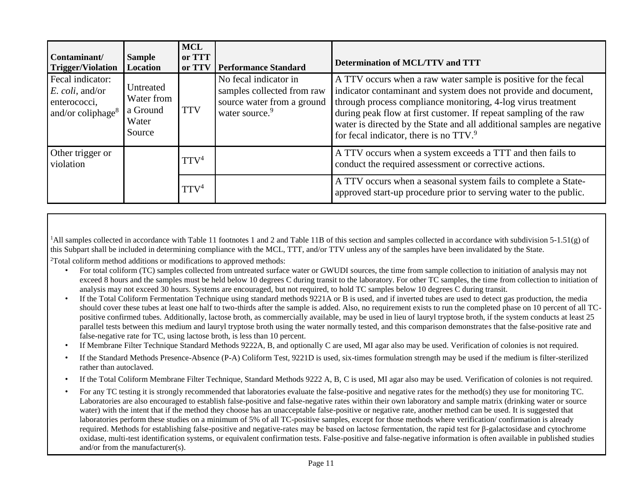| Contaminant/<br><b>Trigger/Violation</b>                                           | <b>Sample</b><br>Location                              | <b>MCL</b><br>or TTT<br>or TTV | <b>Performance Standard</b>                                                                                     | <b>Determination of MCL/TTV and TTT</b>                                                                                                                                                                                                                                                                                                                                                                |
|------------------------------------------------------------------------------------|--------------------------------------------------------|--------------------------------|-----------------------------------------------------------------------------------------------------------------|--------------------------------------------------------------------------------------------------------------------------------------------------------------------------------------------------------------------------------------------------------------------------------------------------------------------------------------------------------------------------------------------------------|
| Fecal indicator:<br><i>E. coli, and/or</i><br>enterococci,<br>and/or coliphage $8$ | Untreated<br>Water from<br>a Ground<br>Water<br>Source | <b>TTV</b>                     | No fecal indicator in<br>samples collected from raw<br>source water from a ground<br>water source. <sup>9</sup> | A TTV occurs when a raw water sample is positive for the fecal<br>indicator contaminant and system does not provide and document,<br>through process compliance monitoring, 4-log virus treatment<br>during peak flow at first customer. If repeat sampling of the raw<br>water is directed by the State and all additional samples are negative<br>for fecal indicator, there is no TTV. <sup>9</sup> |
| Other trigger or<br>violation                                                      |                                                        | TTV <sup>4</sup>               |                                                                                                                 | A TTV occurs when a system exceeds a TTT and then fails to<br>conduct the required assessment or corrective actions.                                                                                                                                                                                                                                                                                   |
|                                                                                    |                                                        | TTV <sup>4</sup>               |                                                                                                                 | A TTV occurs when a seasonal system fails to complete a State-<br>approved start-up procedure prior to serving water to the public.                                                                                                                                                                                                                                                                    |

<sup>1</sup>All samples collected in accordance with Table 11 footnotes 1 and 2 and Table 11B of this section and samples collected in accordance with subdivision 5-1.51(g) of this Subpart shall be included in determining compliance with the MCL, TTT, and/or TTV unless any of the samples have been invalidated by the State.

<sup>2</sup>Total coliform method additions or modifications to approved methods:

- For total coliform (TC) samples collected from untreated surface water or GWUDI sources, the time from sample collection to initiation of analysis may not exceed 8 hours and the samples must be held below 10 degrees C during transit to the laboratory. For other TC samples, the time from collection to initiation of analysis may not exceed 30 hours. Systems are encouraged, but not required, to hold TC samples below 10 degrees C during transit.
- If the Total Coliform Fermentation Technique using standard methods 9221A or B is used, and if inverted tubes are used to detect gas production, the media should cover these tubes at least one half to two-thirds after the sample is added. Also, no requirement exists to run the completed phase on 10 percent of all TCpositive confirmed tubes. Additionally, lactose broth, as commercially available, may be used in lieu of lauryl tryptose broth, if the system conducts at least 25 parallel tests between this medium and lauryl tryptose broth using the water normally tested, and this comparison demonstrates that the false-positive rate and false-negative rate for TC, using lactose broth, is less than 10 percent.
- If Membrane Filter Technique Standard Methods 9222A, B, and optionally C are used, MI agar also may be used. Verification of colonies is not required.
- If the Standard Methods Presence-Absence (P-A) Coliform Test, 9221D is used, six-times formulation strength may be used if the medium is filter-sterilized rather than autoclaved.
- If the Total Coliform Membrane Filter Technique, Standard Methods 9222 A, B, C is used, MI agar also may be used. Verification of colonies is not required.
- For any TC testing it is strongly recommended that laboratories evaluate the false-positive and negative rates for the method(s) they use for monitoring TC. Laboratories are also encouraged to establish false-positive and false-negative rates within their own laboratory and sample matrix (drinking water or source water) with the intent that if the method they choose has an unacceptable false-positive or negative rate, another method can be used. It is suggested that laboratories perform these studies on a minimum of 5% of all TC-positive samples, except for those methods where verification/ confirmation is already required. Methods for establishing false-positive and negative-rates may be based on lactose fermentation, the rapid test for β-galactosidase and cytochrome oxidase, multi-test identification systems, or equivalent confirmation tests. False-positive and false-negative information is often available in published studies and/or from the manufacturer(s).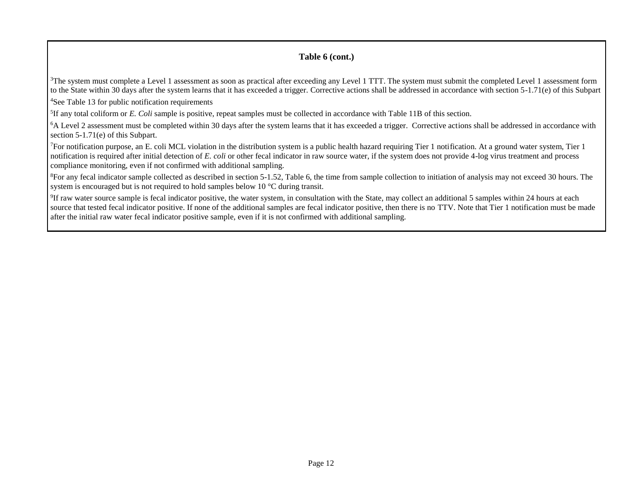#### **Table 6 (cont.)**

<sup>3</sup>The system must complete a Level 1 assessment as soon as practical after exceeding any Level 1 TTT. The system must submit the completed Level 1 assessment form to the State within 30 days after the system learns that it has exceeded a trigger. Corrective actions shall be addressed in accordance with section 5-1.71(e) of this Subpart

<sup>4</sup>See Table 13 for public notification requirements

<sup>5</sup>If any total coliform or *E. Coli* sample is positive, repeat samples must be collected in accordance with Table 11B of this section.

<sup>6</sup>A Level 2 assessment must be completed within 30 days after the system learns that it has exceeded a trigger. Corrective actions shall be addressed in accordance with section 5-1.71(e) of this Subpart.

 $^7$ For notification purpose, an E. coli MCL violation in the distribution system is a public health hazard requiring Tier 1 notification. At a ground water system, Tier 1 notification is required after initial detection of *E. coli* or other fecal indicator in raw source water, if the system does not provide 4-log virus treatment and process compliance monitoring, even if not confirmed with additional sampling.

<sup>8</sup>For any fecal indicator sample collected as described in section 5-1.52, Table 6, the time from sample collection to initiation of analysis may not exceed 30 hours. The system is encouraged but is not required to hold samples below 10 °C during transit.

<sup>9</sup>If raw water source sample is fecal indicator positive, the water system, in consultation with the State, may collect an additional 5 samples within 24 hours at each source that tested fecal indicator positive. If none of the additional samples are fecal indicator positive, then there is no TTV. Note that Tier 1 notification must be made after the initial raw water fecal indicator positive sample, even if it is not confirmed with additional sampling.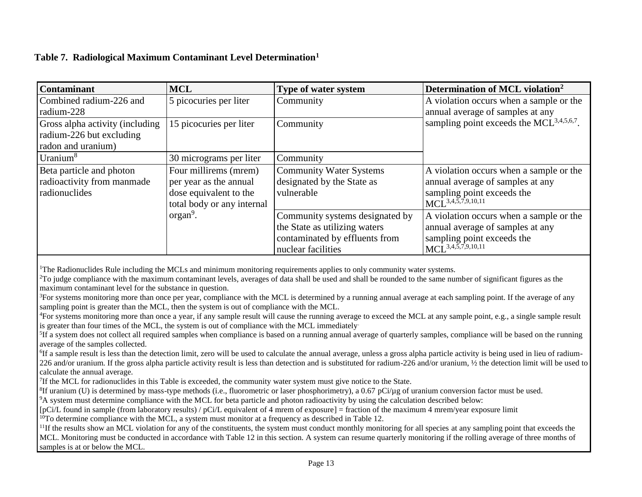#### **Table 7. Radiological Maximum Contaminant Level Determination<sup>1</sup>**

| <b>Contaminant</b>               | <b>MCL</b>                 | <b>Type of water system</b>     | Determination of MCL violation <sup>2</sup>           |
|----------------------------------|----------------------------|---------------------------------|-------------------------------------------------------|
| Combined radium-226 and          | 5 picocuries per liter     | Community                       | A violation occurs when a sample or the               |
| radium-228                       |                            |                                 | annual average of samples at any                      |
| Gross alpha activity (including) | 15 picocuries per liter    | Community                       | sampling point exceeds the MCL <sup>3,4,5,6,7</sup> . |
| radium-226 but excluding         |                            |                                 |                                                       |
| radon and uranium)               |                            |                                 |                                                       |
| Uranium $8$                      | 30 micrograms per liter    | Community                       |                                                       |
| Beta particle and photon         | Four millirems (mrem)      | <b>Community Water Systems</b>  | A violation occurs when a sample or the               |
| radioactivity from manmade       | per year as the annual     | designated by the State as      | annual average of samples at any                      |
| radionuclides                    | dose equivalent to the     | vulnerable                      | sampling point exceeds the                            |
|                                  | total body or any internal |                                 | $MCL^{3,4,\bar{5},7,9,10,11}$                         |
|                                  | $organ9$ .                 | Community systems designated by | A violation occurs when a sample or the               |
|                                  |                            | the State as utilizing waters   | annual average of samples at any                      |
|                                  |                            | contaminated by effluents from  | sampling point exceeds the                            |
|                                  |                            | nuclear facilities              | $MCL^{3,4,\overline{5},7,9,10,11}$                    |

<sup>1</sup>The Radionuclides Rule including the MCLs and minimum monitoring requirements applies to only community water systems.

 $2T$ o judge compliance with the maximum contaminant levels, averages of data shall be used and shall be rounded to the same number of significant figures as the maximum contaminant level for the substance in question.

 ${}^{3}$ For systems monitoring more than once per year, compliance with the MCL is determined by a running annual average at each sampling point. If the average of any sampling point is greater than the MCL, then the system is out of compliance with the MCL.

<sup>4</sup>For systems monitoring more than once a year, if any sample result will cause the running average to exceed the MCL at any sample point, e.g., a single sample result is greater than four times of the MCL, the system is out of compliance with the MCL immediately.

<sup>5</sup>If a system does not collect all required samples when compliance is based on a running annual average of quarterly samples, compliance will be based on the running average of the samples collected.

<sup>6</sup>If a sample result is less than the detection limit, zero will be used to calculate the annual average, unless a gross alpha particle activity is being used in lieu of radium-226 and/or uranium. If the gross alpha particle activity result is less than detection and is substituted for radium-226 and/or uranium, ½ the detection limit will be used to calculate the annual average.

7 If the MCL for radionuclides in this Table is exceeded, the community water system must give notice to the State.

 ${}^{8}$ If uranium (U) is determined by mass-type methods (i.e., fluorometric or laser phosphorimetry), a 0.67 pCi/µg of uranium conversion factor must be used.

<sup>9</sup>A system must determine compliance with the MCL for beta particle and photon radioactivity by using the calculation described below:

[pCi/L found in sample (from laboratory results) / pCi/L equivalent of 4 mrem of exposure] = fraction of the maximum 4 mrem/year exposure limit

 $10$ To determine compliance with the MCL, a system must monitor at a frequency as described in Table 12.

 $11$ If the results show an MCL violation for any of the constituents, the system must conduct monthly monitoring for all species at any sampling point that exceeds the MCL. Monitoring must be conducted in accordance with Table 12 in this section. A system can resume quarterly monitoring if the rolling average of three months of samples is at or below the MCL.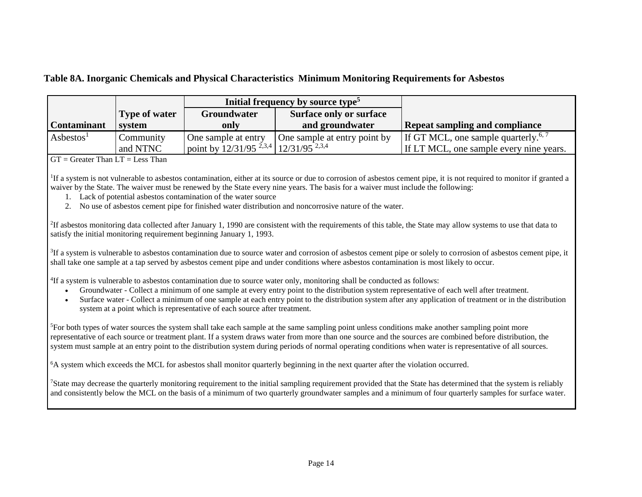#### **Table 8A. Inorganic Chemicals and Physical Characteristics Minimum Monitoring Requirements for Asbestos**

|                       |                      | Initial frequency by source type <sup>5</sup>        |                              |                                                  |
|-----------------------|----------------------|------------------------------------------------------|------------------------------|--------------------------------------------------|
|                       | <b>Type of water</b> | <b>Surface only or surface</b><br><b>Groundwater</b> |                              |                                                  |
| <b>Contaminant</b>    | system               | only                                                 | and groundwater              | <b>Repeat sampling and compliance</b>            |
| Asbestos <sup>1</sup> | Community            | One sample at entry                                  | One sample at entry point by | If GT MCL, one sample quarterly. <sup>6, 7</sup> |
|                       | and NTNC             | point by $12/31/95^{2,3,4}$   $12/31/95^{2,3,4}$     |                              | If LT MCL, one sample every nine years.          |

 $GT =$  Greater Than  $LT =$  Less Than

<sup>1</sup>If a system is not vulnerable to asbestos contamination, either at its source or due to corrosion of asbestos cement pipe, it is not required to monitor if granted a waiver by the State. The waiver must be renewed by the State every nine years. The basis for a waiver must include the following:

- 1. Lack of potential asbestos contamination of the water source
- 2. No use of asbestos cement pipe for finished water distribution and noncorrosive nature of the water.

<sup>2</sup>If asbestos monitoring data collected after January 1, 1990 are consistent with the requirements of this table, the State may allow systems to use that data to satisfy the initial monitoring requirement beginning January 1, 1993.

<sup>3</sup>If a system is vulnerable to asbestos contamination due to source water and corrosion of asbestos cement pipe or solely to corrosion of asbestos cement pipe, it shall take one sample at a tap served by asbestos cement pipe and under conditions where asbestos contamination is most likely to occur.

<sup>4</sup>If a system is vulnerable to asbestos contamination due to source water only, monitoring shall be conducted as follows:

- Groundwater Collect a minimum of one sample at every entry point to the distribution system representative of each well after treatment.
- Surface water Collect a minimum of one sample at each entry point to the distribution system after any application of treatment or in the distribution system at a point which is representative of each source after treatment.

<sup>5</sup>For both types of water sources the system shall take each sample at the same sampling point unless conditions make another sampling point more representative of each source or treatment plant. If a system draws water from more than one source and the sources are combined before distribution, the system must sample at an entry point to the distribution system during periods of normal operating conditions when water is representative of all sources.

<sup>6</sup>A system which exceeds the MCL for asbestos shall monitor quarterly beginning in the next quarter after the violation occurred.

<sup>7</sup>State may decrease the quarterly monitoring requirement to the initial sampling requirement provided that the State has determined that the system is reliably and consistently below the MCL on the basis of a minimum of two quarterly groundwater samples and a minimum of four quarterly samples for surface water.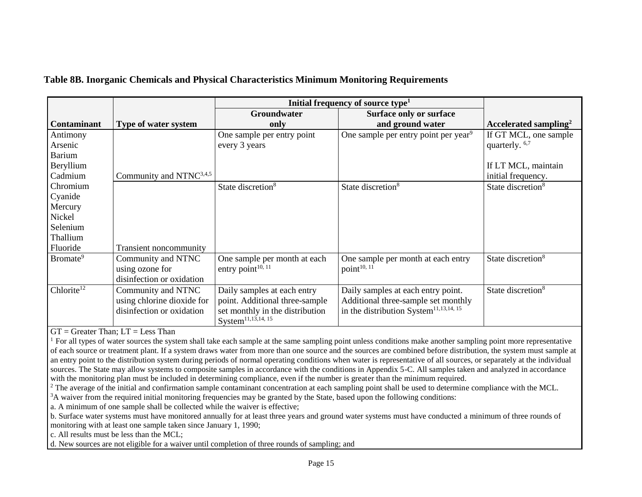|                        |                                     | Initial frequency of source type <sup>1</sup>                     |                                                    |                                   |
|------------------------|-------------------------------------|-------------------------------------------------------------------|----------------------------------------------------|-----------------------------------|
|                        |                                     | <b>Groundwater</b>                                                | <b>Surface only or surface</b>                     |                                   |
| <b>Contaminant</b>     | Type of water system                | only                                                              | and ground water                                   | Accelerated sampling <sup>2</sup> |
| Antimony               |                                     | One sample per entry point                                        | One sample per entry point per year <sup>9</sup>   | If GT MCL, one sample             |
| Arsenic                |                                     | every 3 years                                                     |                                                    | quarterly. $6,7$                  |
| <b>Barium</b>          |                                     |                                                                   |                                                    |                                   |
| Beryllium              |                                     |                                                                   |                                                    | If LT MCL, maintain               |
| Cadmium                | Community and NTNC <sup>3,4,5</sup> |                                                                   |                                                    | initial frequency.                |
| Chromium               |                                     | State discretion <sup>8</sup>                                     | State discretion <sup>8</sup>                      | State discretion <sup>8</sup>     |
| Cyanide                |                                     |                                                                   |                                                    |                                   |
| Mercury                |                                     |                                                                   |                                                    |                                   |
| Nickel                 |                                     |                                                                   |                                                    |                                   |
| Selenium               |                                     |                                                                   |                                                    |                                   |
| Thallium               |                                     |                                                                   |                                                    |                                   |
| Fluoride               | <b>Transient noncommunity</b>       |                                                                   |                                                    |                                   |
| Bromate <sup>9</sup>   | Community and NTNC                  | One sample per month at each                                      | One sample per month at each entry                 | State discretion <sup>8</sup>     |
|                        | using ozone for                     | entry point $10$ , $11$                                           | point $10, 11$                                     |                                   |
|                        | disinfection or oxidation           |                                                                   |                                                    |                                   |
| Chlorite <sup>12</sup> | Community and NTNC                  | Daily samples at each entry                                       | Daily samples at each entry point.                 | State discretion <sup>8</sup>     |
|                        | using chlorine dioxide for          | point. Additional three-sample                                    | Additional three-sample set monthly                |                                   |
|                        | disinfection or oxidation           | set monthly in the distribution<br>System <sup>11,13,14, 15</sup> | in the distribution System <sup>11,13,14, 15</sup> |                                   |

#### **Table 8B. Inorganic Chemicals and Physical Characteristics Minimum Monitoring Requirements**

 $GT =$  Greater Than;  $LT =$  Less Than

<sup>1</sup> For all types of water sources the system shall take each sample at the same sampling point unless conditions make another sampling point more representative of each source or treatment plant. If a system draws water from more than one source and the sources are combined before distribution, the system must sample at an entry point to the distribution system during periods of normal operating conditions when water is representative of all sources, or separately at the individual sources. The State may allow systems to composite samples in accordance with the conditions in Appendix 5-C. All samples taken and analyzed in accordance with the monitoring plan must be included in determining compliance, even if the number is greater than the minimum required.

<sup>2</sup> The average of the initial and confirmation sample contaminant concentration at each sampling point shall be used to determine compliance with the MCL.

<sup>3</sup>A waiver from the required initial monitoring frequencies may be granted by the State, based upon the following conditions:

a. A minimum of one sample shall be collected while the waiver is effective;

b. Surface water systems must have monitored annually for at least three years and ground water systems must have conducted a minimum of three rounds of monitoring with at least one sample taken since January 1, 1990;

c. All results must be less than the MCL;

d. New sources are not eligible for a waiver until completion of three rounds of sampling; and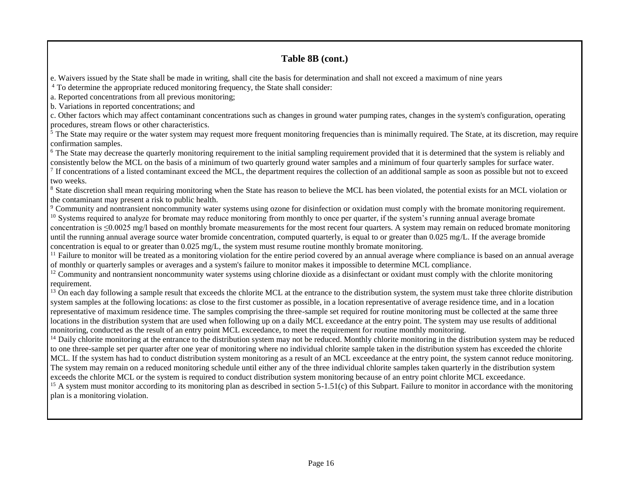## **Table 8B (cont.)**

e. Waivers issued by the State shall be made in writing, shall cite the basis for determination and shall not exceed a maximum of nine years

<sup>4</sup> To determine the appropriate reduced monitoring frequency, the State shall consider:

a. Reported concentrations from all previous monitoring;

b. Variations in reported concentrations; and

c. Other factors which may affect contaminant concentrations such as changes in ground water pumping rates, changes in the system's configuration, operating procedures, stream flows or other characteristics.

 $5$  The State may require or the water system may request more frequent monitoring frequencies than is minimally required. The State, at its discretion, may require confirmation samples.

<sup>6</sup> The State may decrease the quarterly monitoring requirement to the initial sampling requirement provided that it is determined that the system is reliably and consistently below the MCL on the basis of a minimum of two quarterly ground water samples and a minimum of four quarterly samples for surface water.

If concentrations of a listed contaminant exceed the MCL, the department requires the collection of an additional sample as soon as possible but not to exceed two weeks.

<sup>8</sup> State discretion shall mean requiring monitoring when the State has reason to believe the MCL has been violated, the potential exists for an MCL violation or the contaminant may present a risk to public health.

<sup>9</sup> Community and nontransient noncommunity water systems using ozone for disinfection or oxidation must comply with the bromate monitoring requirement.

<sup>10</sup> Systems required to analyze for bromate may reduce monitoring from monthly to once per quarter, if the system's running annual average bromate

concentration is  $\leq 0.0025$  mg/l based on monthly bromate measurements for the most recent four quarters. A system may remain on reduced bromate monitoring until the running annual average source water bromide concentration, computed quarterly, is equal to or greater than 0.025 mg/L. If the average bromide concentration is equal to or greater than 0.025 mg/L, the system must resume routine monthly bromate monitoring.

<sup>11</sup> Failure to monitor will be treated as a monitoring violation for the entire period covered by an annual average where compliance is based on an annual average of monthly or quarterly samples or averages and a system's failure to monitor makes it impossible to determine MCL compliance.

<sup>12</sup> Community and nontransient noncommunity water systems using chlorine dioxide as a disinfectant or oxidant must comply with the chlorite monitoring requirement.

<sup>13</sup> On each day following a sample result that exceeds the chlorite MCL at the entrance to the distribution system, the system must take three chlorite distribution system samples at the following locations: as close to the first customer as possible, in a location representative of average residence time, and in a location representative of maximum residence time. The samples comprising the three-sample set required for routine monitoring must be collected at the same three locations in the distribution system that are used when following up on a daily MCL exceedance at the entry point. The system may use results of additional monitoring, conducted as the result of an entry point MCL exceedance, to meet the requirement for routine monthly monitoring.

<sup>14</sup> Daily chlorite monitoring at the entrance to the distribution system may not be reduced. Monthly chlorite monitoring in the distribution system may be reduced to one three-sample set per quarter after one year of monitoring where no individual chlorite sample taken in the distribution system has exceeded the chlorite MCL. If the system has had to conduct distribution system monitoring as a result of an MCL exceedance at the entry point, the system cannot reduce monitoring. The system may remain on a reduced monitoring schedule until either any of the three individual chlorite samples taken quarterly in the distribution system exceeds the chlorite MCL or the system is required to conduct distribution system monitoring because of an entry point chlorite MCL exceedance.

<sup>15</sup> A system must monitor according to its monitoring plan as described in section  $5-1.51(c)$  of this Subpart. Failure to monitor in accordance with the monitoring plan is a monitoring violation.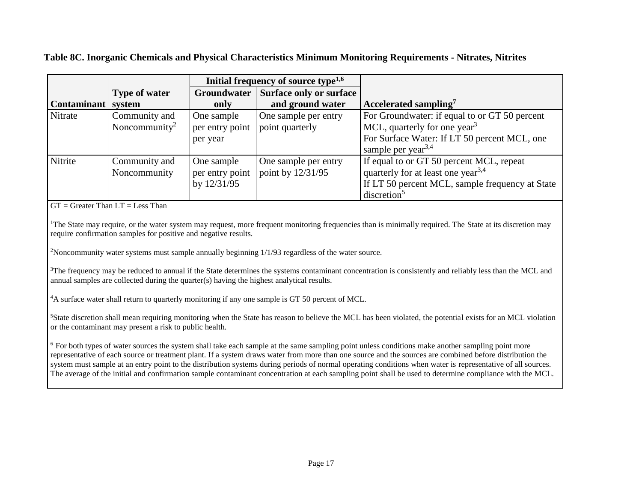**Table 8C. Inorganic Chemicals and Physical Characteristics Minimum Monitoring Requirements - Nitrates, Nitrites**

|                    |                           |                    | Initial frequency of source type <sup>1,6</sup> |                                                                                |
|--------------------|---------------------------|--------------------|-------------------------------------------------|--------------------------------------------------------------------------------|
|                    | <b>Type of water</b>      | <b>Groundwater</b> | Surface only or surface                         |                                                                                |
| Contaminant system |                           | only               | and ground water                                | Accelerated sampling <sup>7</sup>                                              |
| Nitrate            | Community and             | One sample         | One sample per entry                            | For Groundwater: if equal to or GT 50 percent                                  |
|                    | Noncommunity <sup>2</sup> | per entry point    | point quarterly                                 | MCL, quarterly for one year <sup>3</sup>                                       |
|                    |                           | per year           |                                                 | For Surface Water: If LT 50 percent MCL, one<br>sample per year <sup>3,4</sup> |
| Nitrite            | Community and             | One sample         | One sample per entry                            | If equal to or GT 50 percent MCL, repeat                                       |
|                    | Noncommunity              | per entry point    | point by 12/31/95                               | quarterly for at least one year <sup>3,4</sup>                                 |
|                    |                           | by 12/31/95        |                                                 | If LT 50 percent MCL, sample frequency at State                                |
|                    |                           |                    |                                                 | discretion <sup>5</sup>                                                        |

 $GT =$  Greater Than  $LT =$  Less Than

<sup>1</sup>The State may require, or the water system may request, more frequent monitoring frequencies than is minimally required. The State at its discretion may require confirmation samples for positive and negative results.

<sup>2</sup>Noncommunity water systems must sample annually beginning 1/1/93 regardless of the water source.

<sup>3</sup>The frequency may be reduced to annual if the State determines the systems contaminant concentration is consistently and reliably less than the MCL and annual samples are collected during the quarter(s) having the highest analytical results.

<sup>4</sup>A surface water shall return to quarterly monitoring if any one sample is GT 50 percent of MCL.

<sup>5</sup>State discretion shall mean requiring monitoring when the State has reason to believe the MCL has been violated, the potential exists for an MCL violation or the contaminant may present a risk to public health.

<sup>6</sup> For both types of water sources the system shall take each sample at the same sampling point unless conditions make another sampling point more representative of each source or treatment plant. If a system draws water from more than one source and the sources are combined before distribution the system must sample at an entry point to the distribution systems during periods of normal operating conditions when water is representative of all sources. The average of the initial and confirmation sample contaminant concentration at each sampling point shall be used to determine compliance with the MCL.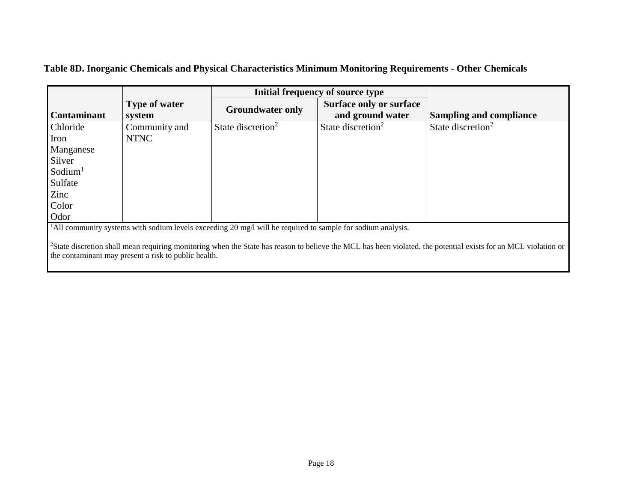**Table 8D. Inorganic Chemicals and Physical Characteristics Minimum Monitoring Requirements - Other Chemicals**

|                                                                                                                         |                      | Initial frequency of source type |                                |                                                                                                                                                                            |
|-------------------------------------------------------------------------------------------------------------------------|----------------------|----------------------------------|--------------------------------|----------------------------------------------------------------------------------------------------------------------------------------------------------------------------|
|                                                                                                                         | <b>Type of water</b> | <b>Groundwater only</b>          | <b>Surface only or surface</b> |                                                                                                                                                                            |
| <b>Contaminant</b>                                                                                                      | system               |                                  | and ground water               | <b>Sampling and compliance</b>                                                                                                                                             |
| Chloride                                                                                                                | Community and        | State discretion <sup>2</sup>    | State discretion <sup>2</sup>  | State discretion <sup>2</sup>                                                                                                                                              |
| Iron                                                                                                                    | <b>NTNC</b>          |                                  |                                |                                                                                                                                                                            |
| Manganese                                                                                                               |                      |                                  |                                |                                                                                                                                                                            |
| Silver                                                                                                                  |                      |                                  |                                |                                                                                                                                                                            |
| Sodium <sup>1</sup>                                                                                                     |                      |                                  |                                |                                                                                                                                                                            |
| Sulfate                                                                                                                 |                      |                                  |                                |                                                                                                                                                                            |
| Zinc                                                                                                                    |                      |                                  |                                |                                                                                                                                                                            |
| Color                                                                                                                   |                      |                                  |                                |                                                                                                                                                                            |
| Odor                                                                                                                    |                      |                                  |                                |                                                                                                                                                                            |
| <sup>1</sup> All community systems with sodium levels exceeding 20 mg/l will be required to sample for sodium analysis. |                      |                                  |                                |                                                                                                                                                                            |
|                                                                                                                         |                      |                                  |                                | <sup>2</sup> State discretion shall mean requiring monitoring when the State has reason to believe the MCL has been violated, the potential exists for an MCL violation or |

the contaminant may present a risk to public health.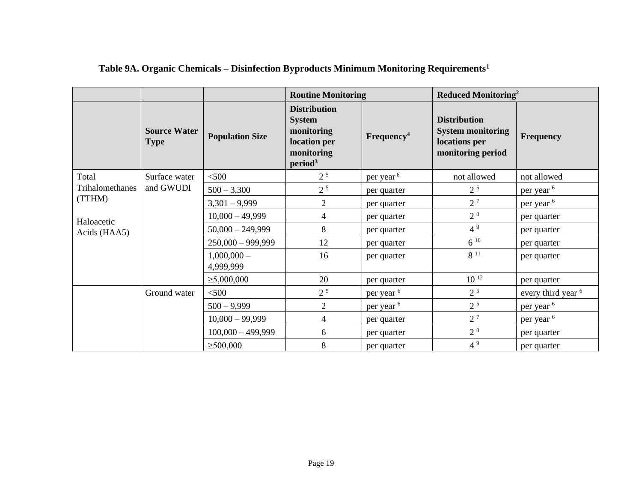|                           |                                    |                            | <b>Routine Monitoring</b>                                                                               |                        |                                                                                       | <b>Reduced Monitoring<sup>2</sup></b> |  |  |
|---------------------------|------------------------------------|----------------------------|---------------------------------------------------------------------------------------------------------|------------------------|---------------------------------------------------------------------------------------|---------------------------------------|--|--|
|                           | <b>Source Water</b><br><b>Type</b> | <b>Population Size</b>     | <b>Distribution</b><br><b>System</b><br>monitoring<br>location per<br>monitoring<br>period <sup>3</sup> | Frequency <sup>4</sup> | <b>Distribution</b><br><b>System monitoring</b><br>locations per<br>monitoring period | <b>Frequency</b>                      |  |  |
| Total                     | Surface water                      | < 500                      | 2 <sup>5</sup>                                                                                          | per year <sup>6</sup>  | not allowed                                                                           | not allowed                           |  |  |
| Trihalomethanes<br>(TTHM) | and GWUDI                          | $500 - 3,300$              | 2 <sup>5</sup>                                                                                          | per quarter            | 2 <sup>5</sup>                                                                        | per year <sup>6</sup>                 |  |  |
|                           |                                    | $3,301 - 9,999$            | $\overline{2}$                                                                                          | per quarter            | $2^7$                                                                                 | per year <sup>6</sup>                 |  |  |
| Haloacetic                |                                    | $10,000 - 49,999$          | 4                                                                                                       | per quarter            | 2 <sup>8</sup>                                                                        | per quarter                           |  |  |
| Acids (HAA5)              |                                    | $50,000 - 249,999$         | 8                                                                                                       | per quarter            | 4 <sup>9</sup>                                                                        | per quarter                           |  |  |
|                           |                                    | $250,000 - 999,999$        | 12                                                                                                      | per quarter            | $6^{10}$                                                                              | per quarter                           |  |  |
|                           |                                    | $1,000,000 -$<br>4,999,999 | 16                                                                                                      | per quarter            | $8^{11}$                                                                              | per quarter                           |  |  |
|                           |                                    | $\geq 5,000,000$           | 20                                                                                                      | per quarter            | $10^{12}$                                                                             | per quarter                           |  |  |
|                           | Ground water                       | $<$ 500                    | 2 <sup>5</sup>                                                                                          | per year <sup>6</sup>  | 2 <sup>5</sup>                                                                        | every third year <sup>6</sup>         |  |  |
|                           |                                    | $500 - 9,999$              | $\overline{2}$                                                                                          | per year <sup>6</sup>  | 2 <sup>5</sup>                                                                        | per year <sup>6</sup>                 |  |  |
|                           |                                    | $10,000 - 99,999$          | 4                                                                                                       | per quarter            | $2^7$                                                                                 | per year <sup>6</sup>                 |  |  |
|                           |                                    | 100,000 - 499,999          | 6                                                                                                       | per quarter            | $2^{8}$                                                                               | per quarter                           |  |  |
|                           |                                    | $\geq 500,000$             | 8                                                                                                       | per quarter            | 4 <sup>9</sup>                                                                        | per quarter                           |  |  |

# **Table 9A. Organic Chemicals – Disinfection Byproducts Minimum Monitoring Requirements<sup>1</sup>**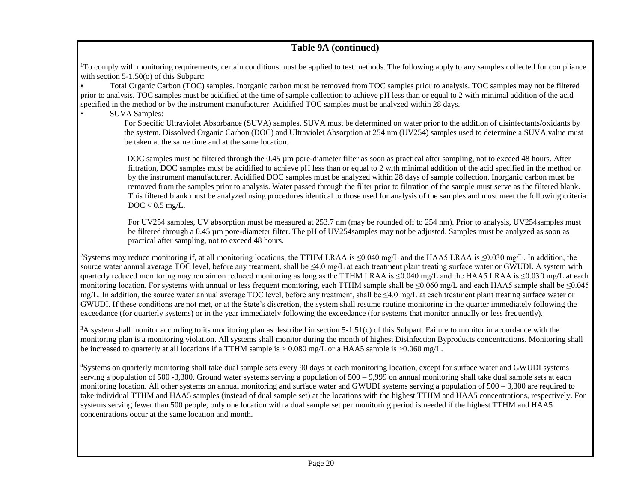### **Table 9A (continued)**

<sup>1</sup>To comply with monitoring requirements, certain conditions must be applied to test methods. The following apply to any samples collected for compliance with section 5-1.50(o) of this Subpart:

• Total Organic Carbon (TOC) samples. Inorganic carbon must be removed from TOC samples prior to analysis. TOC samples may not be filtered prior to analysis. TOC samples must be acidified at the time of sample collection to achieve pH less than or equal to 2 with minimal addition of the acid specified in the method or by the instrument manufacturer. Acidified TOC samples must be analyzed within 28 days.

#### • SUVA Samples:

For Specific Ultraviolet Absorbance (SUVA) samples, SUVA must be determined on water prior to the addition of disinfectants/oxidants by the system. Dissolved Organic Carbon (DOC) and Ultraviolet Absorption at 254 nm (UV254) samples used to determine a SUVA value must be taken at the same time and at the same location.

DOC samples must be filtered through the 0.45 µm pore-diameter filter as soon as practical after sampling, not to exceed 48 hours. After filtration, DOC samples must be acidified to achieve pH less than or equal to 2 with minimal addition of the acid specified in the method or by the instrument manufacturer. Acidified DOC samples must be analyzed within 28 days of sample collection. Inorganic carbon must be removed from the samples prior to analysis. Water passed through the filter prior to filtration of the sample must serve as the filtered blank. This filtered blank must be analyzed using procedures identical to those used for analysis of the samples and must meet the following criteria: DOC < 0.5 mg/L.

For UV254 samples, UV absorption must be measured at 253.7 nm (may be rounded off to 254 nm). Prior to analysis, UV254samples must be filtered through a 0.45 µm pore-diameter filter. The pH of UV254samples may not be adjusted. Samples must be analyzed as soon as practical after sampling, not to exceed 48 hours.

<sup>2</sup>Systems may reduce monitoring if, at all monitoring locations, the TTHM LRAA is ≤0.040 mg/L and the HAA5 LRAA is ≤0.030 mg/L. In addition, the source water annual average TOC level, before any treatment, shall be  $\leq 4.0$  mg/L at each treatment plant treating surface water or GWUDI. A system with quarterly reduced monitoring may remain on reduced monitoring as long as the TTHM LRAA is ≤0.040 mg/L and the HAA5 LRAA is ≤0.030 mg/L at each monitoring location. For systems with annual or less frequent monitoring, each TTHM sample shall be ≤0.060 mg/L and each HAA5 sample shall be ≤0.045 mg/L. In addition, the source water annual average TOC level, before any treatment, shall be ≤4.0 mg/L at each treatment plant treating surface water or GWUDI. If these conditions are not met, or at the State's discretion, the system shall resume routine monitoring in the quarter immediately following the exceedance (for quarterly systems) or in the year immediately following the exceedance (for systems that monitor annually or less frequently).

 $3A$  system shall monitor according to its monitoring plan as described in section 5-1.51(c) of this Subpart. Failure to monitor in accordance with the monitoring plan is a monitoring violation. All systems shall monitor during the month of highest Disinfection Byproducts concentrations. Monitoring shall be increased to quarterly at all locations if a TTHM sample is  $> 0.080$  mg/L or a HAA5 sample is  $> 0.060$  mg/L.

<sup>4</sup>Systems on quarterly monitoring shall take dual sample sets every 90 days at each monitoring location, except for surface water and GWUDI systems serving a population of 500 -3,300. Ground water systems serving a population of 500 – 9,999 on annual monitoring shall take dual sample sets at each monitoring location. All other systems on annual monitoring and surface water and GWUDI systems serving a population of  $500 - 3,300$  are required to take individual TTHM and HAA5 samples (instead of dual sample set) at the locations with the highest TTHM and HAA5 concentrations, respectively. For systems serving fewer than 500 people, only one location with a dual sample set per monitoring period is needed if the highest TTHM and HAA5 concentrations occur at the same location and month.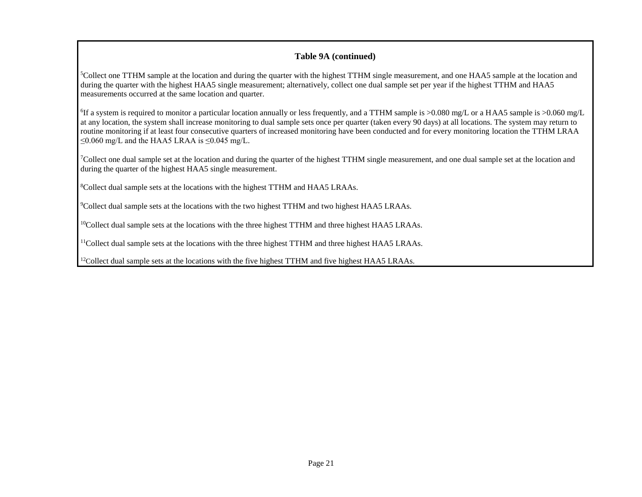#### **Table 9A (continued)**

<sup>5</sup>Collect one TTHM sample at the location and during the quarter with the highest TTHM single measurement, and one HAA5 sample at the location and during the quarter with the highest HAA5 single measurement; alternatively, collect one dual sample set per year if the highest TTHM and HAA5 measurements occurred at the same location and quarter.

<sup>6</sup>If a system is required to monitor a particular location annually or less frequently, and a TTHM sample is >0.080 mg/L or a HAA5 sample is >0.060 mg/L at any location, the system shall increase monitoring to dual sample sets once per quarter (taken every 90 days) at all locations. The system may return to routine monitoring if at least four consecutive quarters of increased monitoring have been conducted and for every monitoring location the TTHM LRAA ≤0.060 mg/L and the HAA5 LRAA is ≤0.045 mg/L.

 $^7$ Collect one dual sample set at the location and during the quarter of the highest TTHM single measurement, and one dual sample set at the location and during the quarter of the highest HAA5 single measurement.

<sup>8</sup>Collect dual sample sets at the locations with the highest TTHM and HAA5 LRAAs.

<sup>9</sup>Collect dual sample sets at the locations with the two highest TTHM and two highest HAA5 LRAAs.

<sup>10</sup>Collect dual sample sets at the locations with the three highest TTHM and three highest HAA5 LRAAs.

 $<sup>11</sup>$ Collect dual sample sets at the locations with the three highest TTHM and three highest HAA5 LRAAs.</sup>

 $12$ Collect dual sample sets at the locations with the five highest TTHM and five highest HAA5 LRAAs.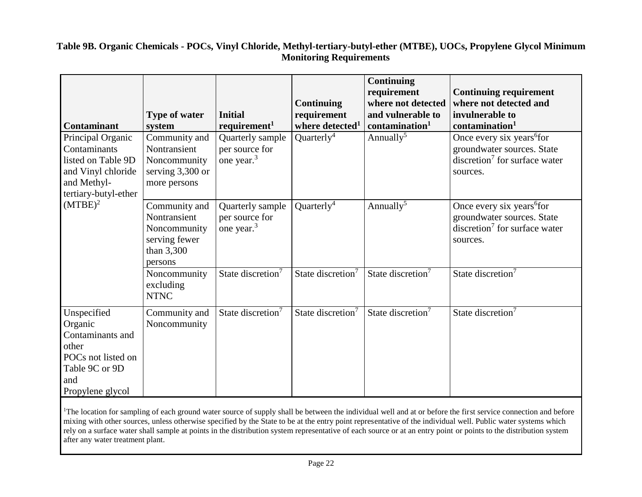| <b>Contaminant</b>                                                                                                                 | <b>Type of water</b><br>system                                                          | <b>Initial</b><br>requirement <sup>1</sup>                   | <b>Continuing</b><br>requirement<br>where detected <sup>1</sup> | <b>Continuing</b><br>requirement<br>where not detected<br>and vulnerable to<br>contamination <sup>1</sup> | <b>Continuing requirement</b><br>where not detected and<br>invulnerable to<br>contamination <sup>1</sup>                     |
|------------------------------------------------------------------------------------------------------------------------------------|-----------------------------------------------------------------------------------------|--------------------------------------------------------------|-----------------------------------------------------------------|-----------------------------------------------------------------------------------------------------------|------------------------------------------------------------------------------------------------------------------------------|
| Principal Organic<br>Contaminants<br>listed on Table 9D<br>and Vinyl chloride<br>and Methyl-<br>tertiary-butyl-ether<br>$(MTBE)^2$ | Community and<br>Nontransient<br>Noncommunity<br>serving $3,300$ or<br>more persons     | Quarterly sample<br>per source for<br>one year. <sup>3</sup> | Quarterly <sup>4</sup>                                          | Annually <sup>5</sup>                                                                                     | Once every six years <sup>6</sup> for<br>groundwater sources. State<br>$discretion7$ for surface water<br>sources.           |
|                                                                                                                                    | Community and<br>Nontransient<br>Noncommunity<br>serving fewer<br>than 3,300<br>persons | Quarterly sample<br>per source for<br>one year. <sup>3</sup> | Quarterly <sup>4</sup>                                          | Annually <sup>5</sup>                                                                                     | Once every six years <sup>6</sup> for<br>groundwater sources. State<br>discretion <sup>7</sup> for surface water<br>sources. |
|                                                                                                                                    | Noncommunity<br>excluding<br><b>NTNC</b>                                                | State discretion <sup>7</sup>                                | State discretion <sup>7</sup>                                   | State discretion <sup>7</sup>                                                                             | State discretion <sup>7</sup>                                                                                                |
| Unspecified<br>Organic<br>Contaminants and<br>other<br>POCs not listed on<br>Table 9C or 9D<br>and<br>Propylene glycol             | Community and<br>Noncommunity                                                           | State discretion <sup>7</sup>                                | State discretion <sup>7</sup>                                   | State discretion <sup>7</sup>                                                                             | State discretion <sup>7</sup>                                                                                                |

## **Table 9B. Organic Chemicals - POCs, Vinyl Chloride, Methyl-tertiary-butyl-ether (MTBE), UOCs, Propylene Glycol Minimum Monitoring Requirements**

<sup>1</sup>The location for sampling of each ground water source of supply shall be between the individual well and at or before the first service connection and before mixing with other sources, unless otherwise specified by the State to be at the entry point representative of the individual well. Public water systems which rely on a surface water shall sample at points in the distribution system representative of each source or at an entry point or points to the distribution system after any water treatment plant.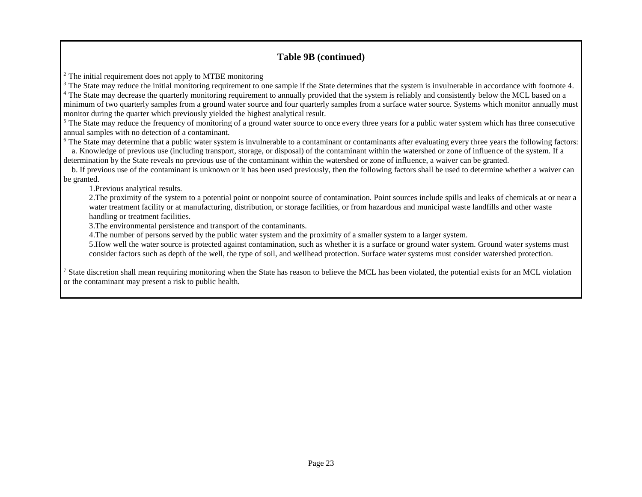## **Table 9B (continued)**

<sup>2</sup> The initial requirement does not apply to MTBE monitoring

<sup>3</sup> The State may reduce the initial monitoring requirement to one sample if the State determines that the system is invulnerable in accordance with footnote 4.

<sup>4</sup> The State may decrease the quarterly monitoring requirement to annually provided that the system is reliably and consistently below the MCL based on a minimum of two quarterly samples from a ground water source and four quarterly samples from a surface water source. Systems which monitor annually must monitor during the quarter which previously yielded the highest analytical result.

<sup>5</sup> The State may reduce the frequency of monitoring of a ground water source to once every three years for a public water system which has three consecutive annual samples with no detection of a contaminant.

 $6$  The State may determine that a public water system is invulnerable to a contaminant or contaminants after evaluating every three years the following factors:

 a. Knowledge of previous use (including transport, storage, or disposal) of the contaminant within the watershed or zone of influence of the system. If a determination by the State reveals no previous use of the contaminant within the watershed or zone of influence, a waiver can be granted.

 b. If previous use of the contaminant is unknown or it has been used previously, then the following factors shall be used to determine whether a waiver can be granted.

1.Previous analytical results.

2.The proximity of the system to a potential point or nonpoint source of contamination. Point sources include spills and leaks of chemicals at or near a water treatment facility or at manufacturing, distribution, or storage facilities, or from hazardous and municipal waste landfills and other waste handling or treatment facilities.

3.The environmental persistence and transport of the contaminants.

4.The number of persons served by the public water system and the proximity of a smaller system to a larger system.

5.How well the water source is protected against contamination, such as whether it is a surface or ground water system. Ground water systems must consider factors such as depth of the well, the type of soil, and wellhead protection. Surface water systems must consider watershed protection.

 $^7$  State discretion shall mean requiring monitoring when the State has reason to believe the MCL has been violated, the potential exists for an MCL violation or the contaminant may present a risk to public health.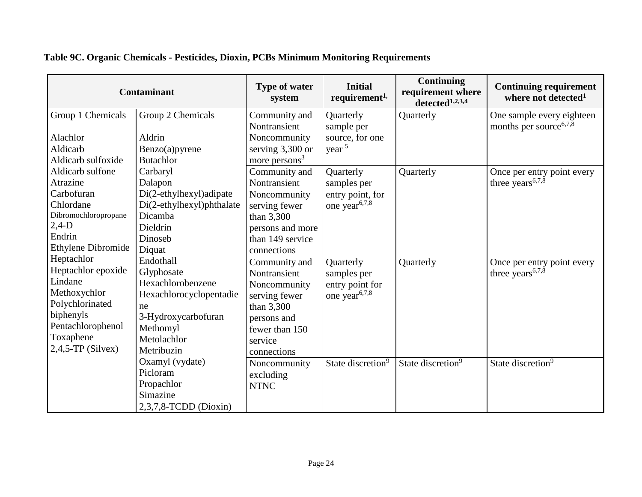| <b>Contaminant</b>                                                                                                                                    |                                                                                                                                                  | <b>Type of water</b><br>system                                                                                                                                   | <b>Initial</b><br>requirement <sup>1,</sup>                                                                                                  | <b>Continuing</b><br>requirement where<br>detected <sup>1,2,3,4</sup> | <b>Continuing requirement</b><br>where not detected <sup>1</sup>                                                                                      |
|-------------------------------------------------------------------------------------------------------------------------------------------------------|--------------------------------------------------------------------------------------------------------------------------------------------------|------------------------------------------------------------------------------------------------------------------------------------------------------------------|----------------------------------------------------------------------------------------------------------------------------------------------|-----------------------------------------------------------------------|-------------------------------------------------------------------------------------------------------------------------------------------------------|
| Group 1 Chemicals<br>Alachlor<br>Aldicarb<br>Aldicarb sulfoxide<br>Aldicarb sulfone<br>Atrazine<br>Carbofuran<br>Chlordane                            | Group 2 Chemicals<br>Aldrin<br>Benzo(a)pyrene<br><b>Butachlor</b><br>Carbaryl<br>Dalapon<br>Di(2-ethylhexyl)adipate<br>Di(2-ethylhexyl)phthalate | Community and<br>Nontransient<br>Noncommunity<br>serving 3,300 or<br>more persons <sup>3</sup><br>Community and<br>Nontransient<br>Noncommunity<br>serving fewer | Quarterly<br>sample per<br>source, for one<br>year <sup>5</sup><br>Quarterly<br>samples per<br>entry point, for<br>one year <sup>6,7,8</sup> | Quarterly<br>Quarterly                                                | One sample every eighteen<br>months per source <sup>6,7,8</sup><br>Once per entry point every<br>three years <sup><math>6,7,\overline{8}</math></sup> |
| Dibromochloropropane<br>$2,4-D$<br>Endrin<br><b>Ethylene Dibromide</b>                                                                                | Dicamba<br>Dieldrin<br>Dinoseb<br>Diquat                                                                                                         | than 3,300<br>persons and more<br>than 149 service<br>connections                                                                                                |                                                                                                                                              |                                                                       |                                                                                                                                                       |
| Heptachlor<br>Heptachlor epoxide<br>Lindane<br>Methoxychlor<br>Polychlorinated<br>biphenyls<br>Pentachlorophenol<br>Toxaphene<br>$2,4,5$ -TP (Silvex) | Endothall<br>Glyphosate<br>Hexachlorobenzene<br>Hexachlorocyclopentadie<br>ne<br>3-Hydroxycarbofuran<br>Methomyl<br>Metolachlor<br>Metribuzin    | Community and<br>Nontransient<br>Noncommunity<br>serving fewer<br>than 3,300<br>persons and<br>fewer than 150<br>service<br>connections                          | Quarterly<br>samples per<br>entry point for<br>one year <sup>6,7,8</sup>                                                                     | Quarterly                                                             | Once per entry point every<br>three years $6,7,8$                                                                                                     |
|                                                                                                                                                       | Oxamyl (vydate)<br>Picloram<br>Propachlor<br>Simazine<br>$2,3,7,8$ -TCDD (Dioxin)                                                                | Noncommunity<br>excluding<br><b>NTNC</b>                                                                                                                         | State discretion <sup>9</sup>                                                                                                                | State discretion <sup>9</sup>                                         | State discretion <sup>9</sup>                                                                                                                         |

## **Table 9C. Organic Chemicals - Pesticides, Dioxin, PCBs Minimum Monitoring Requirements**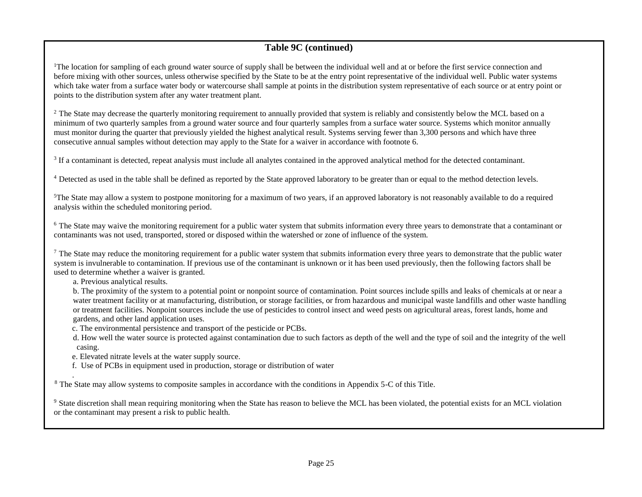#### **Table 9C (continued)**

<sup>1</sup>The location for sampling of each ground water source of supply shall be between the individual well and at or before the first service connection and before mixing with other sources, unless otherwise specified by the State to be at the entry point representative of the individual well. Public water systems which take water from a surface water body or watercourse shall sample at points in the distribution system representative of each source or at entry point or points to the distribution system after any water treatment plant.

<sup>2</sup> The State may decrease the quarterly monitoring requirement to annually provided that system is reliably and consistently below the MCL based on a minimum of two quarterly samples from a ground water source and four quarterly samples from a surface water source. Systems which monitor annually must monitor during the quarter that previously yielded the highest analytical result. Systems serving fewer than 3,300 persons and which have three consecutive annual samples without detection may apply to the State for a waiver in accordance with footnote 6.

<sup>3</sup> If a contaminant is detected, repeat analysis must include all analytes contained in the approved analytical method for the detected contaminant.

<sup>4</sup> Detected as used in the table shall be defined as reported by the State approved laboratory to be greater than or equal to the method detection levels.

<sup>5</sup>The State may allow a system to postpone monitoring for a maximum of two years, if an approved laboratory is not reasonably available to do a required analysis within the scheduled monitoring period.

 $6$  The State may waive the monitoring requirement for a public water system that submits information every three years to demonstrate that a contaminant or contaminants was not used, transported, stored or disposed within the watershed or zone of influence of the system.

<sup>7</sup> The State may reduce the monitoring requirement for a public water system that submits information every three years to demonstrate that the public water system is invulnerable to contamination. If previous use of the contaminant is unknown or it has been used previously, then the following factors shall be used to determine whether a waiver is granted.

a. Previous analytical results.

b. The proximity of the system to a potential point or nonpoint source of contamination. Point sources include spills and leaks of chemicals at or near a water treatment facility or at manufacturing, distribution, or storage facilities, or from hazardous and municipal waste landfills and other waste handling or treatment facilities. Nonpoint sources include the use of pesticides to control insect and weed pests on agricultural areas, forest lands, home and gardens, and other land application uses.

c. The environmental persistence and transport of the pesticide or PCBs.

d. How well the water source is protected against contamination due to such factors as depth of the well and the type of soil and the integrity of the well casing.

e. Elevated nitrate levels at the water supply source.

f. Use of PCBs in equipment used in production, storage or distribution of water

. <sup>8</sup> The State may allow systems to composite samples in accordance with the conditions in Appendix 5-C of this Title.

<sup>9</sup> State discretion shall mean requiring monitoring when the State has reason to believe the MCL has been violated, the potential exists for an MCL violation or the contaminant may present a risk to public health.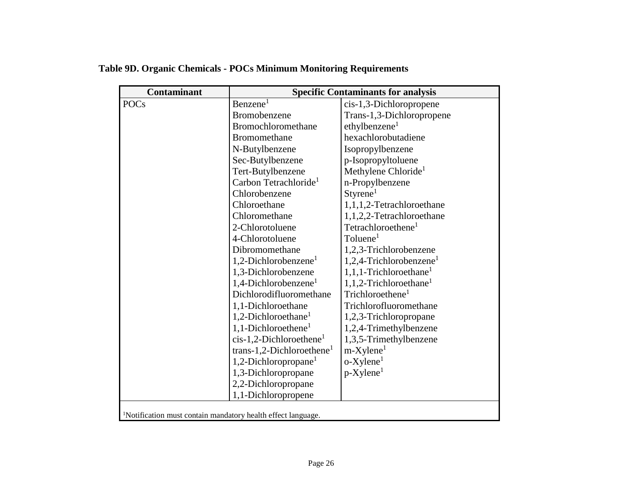| <b>Contaminant</b>                                                       |                                       | <b>Specific Contaminants for analysis</b> |
|--------------------------------------------------------------------------|---------------------------------------|-------------------------------------------|
| <b>POCs</b>                                                              | Benzene <sup>1</sup>                  | cis-1,3-Dichloropropene                   |
|                                                                          | Bromobenzene                          | Trans-1,3-Dichloropropene                 |
|                                                                          | <b>Bromochloromethane</b>             | ethylbenzene <sup>1</sup>                 |
|                                                                          | Bromomethane                          | hexachlorobutadiene                       |
|                                                                          | N-Butylbenzene                        | Isopropylbenzene                          |
|                                                                          | Sec-Butylbenzene                      | p-Isopropyltoluene                        |
|                                                                          | Tert-Butylbenzene                     | Methylene Chloride <sup>1</sup>           |
|                                                                          | Carbon Tetrachloride <sup>1</sup>     | n-Propylbenzene                           |
|                                                                          | Chlorobenzene                         | Styrene <sup>1</sup>                      |
|                                                                          | Chloroethane                          | 1,1,1,2-Tetrachloroethane                 |
|                                                                          | Chloromethane                         | 1,1,2,2-Tetrachloroethane                 |
|                                                                          | 2-Chlorotoluene                       | Tetrachloroethene <sup>1</sup>            |
|                                                                          | 4-Chlorotoluene                       | Toluene <sup>1</sup>                      |
|                                                                          | Dibromomethane                        | 1,2,3-Trichlorobenzene                    |
|                                                                          | $1,2$ -Dichlorobenzene <sup>1</sup>   | $1,2,4$ -Trichlorobenzene <sup>1</sup>    |
|                                                                          | 1,3-Dichlorobenzene                   | $1,1,1$ -Trichloroethane <sup>1</sup>     |
|                                                                          | $1,4$ -Dichlorobenzene <sup>1</sup>   | $1,1,2$ -Trichloroethane <sup>1</sup>     |
|                                                                          | Dichlorodifluoromethane               | Trichloroethene <sup>1</sup>              |
|                                                                          | 1,1-Dichloroethane                    | Trichlorofluoromethane                    |
|                                                                          | 1,2-Dichloroethane <sup>1</sup>       | 1,2,3-Trichloropropane                    |
|                                                                          | 1,1-Dichloroethene <sup>1</sup>       | 1,2,4-Trimethylbenzene                    |
|                                                                          | $cis-1,2-Dichloroethene1$             | 1,3,5-Trimethylbenzene                    |
|                                                                          | trans-1,2-Dichloroethene <sup>1</sup> | $m$ -Xylene <sup>1</sup>                  |
|                                                                          | 1,2-Dichloropropane <sup>1</sup>      | $o$ -Xylene <sup>1</sup>                  |
|                                                                          | 1,3-Dichloropropane                   | $p$ -Xylene <sup>1</sup>                  |
|                                                                          | 2,2-Dichloropropane                   |                                           |
|                                                                          | 1,1-Dichloropropene                   |                                           |
| <sup>1</sup> Notification must contain mandatory health effect language. |                                       |                                           |

## **Table 9D. Organic Chemicals - POCs Minimum Monitoring Requirements**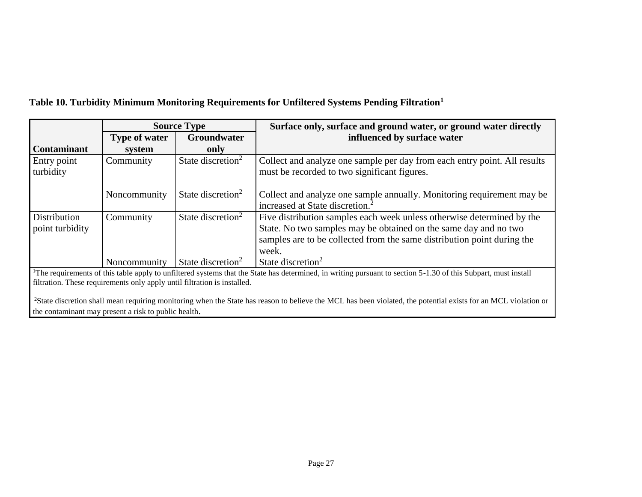|                          | <b>Source Type</b>   |                               | Surface only, surface and ground water, or ground water directly                                                          |
|--------------------------|----------------------|-------------------------------|---------------------------------------------------------------------------------------------------------------------------|
|                          | <b>Type of water</b> | Groundwater                   | influenced by surface water                                                                                               |
| <b>Contaminant</b>       | system               | only                          |                                                                                                                           |
| Entry point<br>turbidity | Community            | State discretion <sup>2</sup> | Collect and analyze one sample per day from each entry point. All results<br>must be recorded to two significant figures. |

#### **Table 10. Turbidity Minimum Monitoring Requirements for Unfiltered Systems Pending Filtration<sup>1</sup>**

State discretion<sup>2</sup>

State discretion<sup>2</sup>

State discretion<sup>2</sup>

Noncommunity

Noncommunity

Community

Distribution point turbidity

<sup>1</sup>The requirements of this table apply to unfiltered systems that the State has determined, in writing pursuant to section 5-1.30 of this Subpart, must install filtration. These requirements only apply until filtration is installed.

week.

<sup>2</sup>State discretion shall mean requiring monitoring when the State has reason to believe the MCL has been violated, the potential exists for an MCL violation or the contaminant may present a risk to public health.

State discretion<sup>2</sup>

increased at State discretion.<sup>2</sup>

Collect and analyze one sample annually. Monitoring requirement may be

Five distribution samples each week unless otherwise determined by the State. No two samples may be obtained on the same day and no two samples are to be collected from the same distribution point during the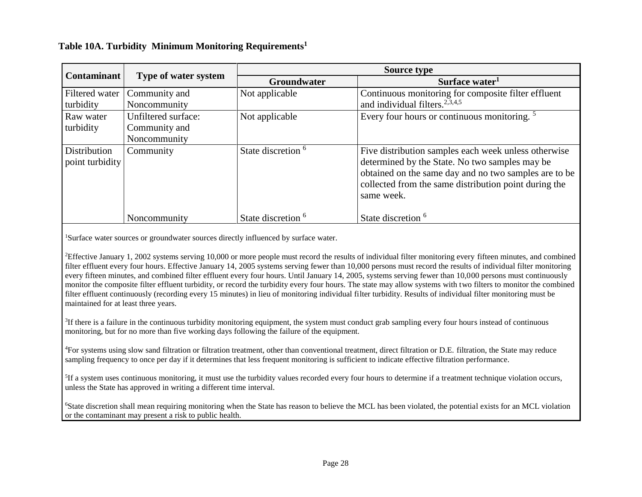|                    |                      | <b>Source type</b>            |                                                         |  |
|--------------------|----------------------|-------------------------------|---------------------------------------------------------|--|
| <b>Contaminant</b> | Type of water system | Groundwater                   | Surface water <sup>1</sup>                              |  |
| Filtered water     | Community and        | Not applicable                | Continuous monitoring for composite filter effluent     |  |
| turbidity          | Noncommunity         |                               | and individual filters. $2,3,4,5$                       |  |
| Raw water          | Unfiltered surface:  | Not applicable                | Every four hours or continuous monitoring. <sup>5</sup> |  |
| turbidity          | Community and        |                               |                                                         |  |
|                    | Noncommunity         |                               |                                                         |  |
| Distribution       | Community            | State discretion <sup>6</sup> | Five distribution samples each week unless otherwise    |  |
| point turbidity    |                      |                               | determined by the State. No two samples may be          |  |
|                    |                      |                               | obtained on the same day and no two samples are to be   |  |
|                    |                      |                               | collected from the same distribution point during the   |  |
|                    |                      |                               | same week.                                              |  |
|                    |                      |                               |                                                         |  |
|                    | Noncommunity         | State discretion <sup>6</sup> | State discretion <sup>6</sup>                           |  |

| Table 10A. Turbidity Minimum Monitoring Requirements <sup>1</sup> |
|-------------------------------------------------------------------|
|-------------------------------------------------------------------|

<sup>1</sup>Surface water sources or groundwater sources directly influenced by surface water.

<sup>2</sup>Effective January 1, 2002 systems serving 10,000 or more people must record the results of individual filter monitoring every fifteen minutes, and combined filter effluent every four hours. Effective January 14, 2005 systems serving fewer than 10,000 persons must record the results of individual filter monitoring every fifteen minutes, and combined filter effluent every four hours. Until January 14, 2005, systems serving fewer than 10,000 persons must continuously monitor the composite filter effluent turbidity, or record the turbidity every four hours. The state may allow systems with two filters to monitor the combined filter effluent continuously (recording every 15 minutes) in lieu of monitoring individual filter turbidity. Results of individual filter monitoring must be maintained for at least three years.

<sup>3</sup>If there is a failure in the continuous turbidity monitoring equipment, the system must conduct grab sampling every four hours instead of continuous monitoring, but for no more than five working days following the failure of the equipment.

<sup>4</sup>For systems using slow sand filtration or filtration treatment, other than conventional treatment, direct filtration or D.E. filtration, the State may reduce sampling frequency to once per day if it determines that less frequent monitoring is sufficient to indicate effective filtration performance.

<sup>5</sup>If a system uses continuous monitoring, it must use the turbidity values recorded every four hours to determine if a treatment technique violation occurs, unless the State has approved in writing a different time interval.

<sup>6</sup>State discretion shall mean requiring monitoring when the State has reason to believe the MCL has been violated, the potential exists for an MCL violation or the contaminant may present a risk to public health.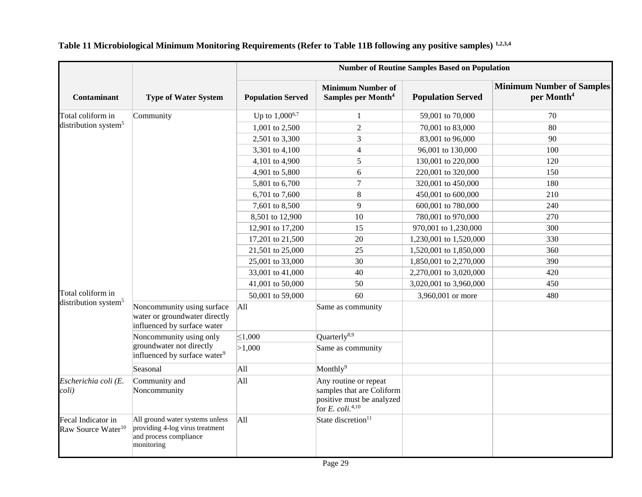| Table 11 Microbiological Minimum Monitoring Requirements (Refer to Table 11B following any positive samples) 1,2,3,4 |  |  |  |  |  |  |
|----------------------------------------------------------------------------------------------------------------------|--|--|--|--|--|--|
|----------------------------------------------------------------------------------------------------------------------|--|--|--|--|--|--|

|                                                      | <b>Type of Water System</b>                                                                                | <b>Number of Routine Samples Based on Population</b> |                                                                                                                 |                          |                                                            |  |  |
|------------------------------------------------------|------------------------------------------------------------------------------------------------------------|------------------------------------------------------|-----------------------------------------------------------------------------------------------------------------|--------------------------|------------------------------------------------------------|--|--|
| Contaminant                                          |                                                                                                            | <b>Population Served</b>                             | <b>Minimum Number of</b><br>Samples per Month <sup>4</sup>                                                      | <b>Population Served</b> | <b>Minimum Number of Samples</b><br>per Month <sup>4</sup> |  |  |
| Total coliform in                                    | Community                                                                                                  | Up to $1,000^{6,7}$                                  | $\mathbf{1}$                                                                                                    | 59,001 to 70,000         | 70                                                         |  |  |
| distribution system <sup>5</sup>                     |                                                                                                            | 1,001 to $2,500$                                     | $\overline{2}$                                                                                                  | 70,001 to 83,000         | 80                                                         |  |  |
|                                                      |                                                                                                            | 2,501 to 3,300                                       | 3                                                                                                               | 83,001 to 96,000         | 90                                                         |  |  |
|                                                      |                                                                                                            | 3,301 to 4,100                                       | $\overline{4}$                                                                                                  | 96,001 to 130,000        | 100                                                        |  |  |
|                                                      |                                                                                                            | 4,101 to 4,900                                       | 5                                                                                                               | 130,001 to 220,000       | 120                                                        |  |  |
|                                                      |                                                                                                            | 4,901 to 5,800                                       | 6                                                                                                               | 220,001 to 320,000       | 150                                                        |  |  |
|                                                      |                                                                                                            | 5,801 to 6,700                                       | $\tau$                                                                                                          | 320,001 to 450,000       | 180                                                        |  |  |
|                                                      |                                                                                                            | 6,701 to 7,600                                       | $\,8\,$                                                                                                         | 450,001 to 600,000       | 210                                                        |  |  |
|                                                      |                                                                                                            | 7,601 to 8,500                                       | 9                                                                                                               | 600,001 to 780,000       | 240                                                        |  |  |
|                                                      |                                                                                                            | 8,501 to 12,900                                      | 10                                                                                                              | 780,001 to 970,000       | 270                                                        |  |  |
|                                                      |                                                                                                            | 12,901 to 17,200                                     | 15                                                                                                              | 970,001 to 1,230,000     | 300                                                        |  |  |
|                                                      |                                                                                                            | 17,201 to 21,500                                     | 20                                                                                                              | 1,230,001 to 1,520,000   | 330                                                        |  |  |
|                                                      |                                                                                                            | 21,501 to 25,000                                     | 25                                                                                                              | 1,520,001 to 1,850,000   | 360                                                        |  |  |
|                                                      |                                                                                                            | 25,001 to 33,000                                     | 30                                                                                                              | 1,850,001 to 2,270,000   | 390                                                        |  |  |
|                                                      |                                                                                                            | 33,001 to 41,000                                     | 40                                                                                                              | 2,270,001 to 3,020,000   | 420                                                        |  |  |
|                                                      |                                                                                                            | 41,001 to 50,000                                     | 50                                                                                                              | 3,020,001 to 3,960,000   | 450                                                        |  |  |
| Total coliform in                                    |                                                                                                            | 50,001 to 59,000                                     | 60                                                                                                              | 3,960,001 or more        | 480                                                        |  |  |
| distribution system <sup>5</sup>                     | Noncommunity using surface<br>water or groundwater directly<br>influenced by surface water                 | $\mathbf{All}$                                       | Same as community                                                                                               |                          |                                                            |  |  |
|                                                      | Noncommunity using only                                                                                    | $\leq 1,000$                                         | Quarterly <sup>8,9</sup>                                                                                        |                          |                                                            |  |  |
|                                                      | groundwater not directly<br>influenced by surface water <sup>9</sup>                                       | >1,000                                               | Same as community                                                                                               |                          |                                                            |  |  |
|                                                      | Seasonal                                                                                                   | All                                                  | Monthly <sup>9</sup>                                                                                            |                          |                                                            |  |  |
| Escherichia coli (E.<br>coli)                        | Community and<br>Noncommunity                                                                              | $\mathbf{All}$                                       | Any routine or repeat<br>samples that are Coliform<br>positive must be analyzed<br>for E. coli. <sup>4,10</sup> |                          |                                                            |  |  |
| Fecal Indicator in<br>Raw Source Water <sup>10</sup> | All ground water systems unless<br>providing 4-log virus treatment<br>and process compliance<br>monitoring | All                                                  | State discretion <sup>11</sup>                                                                                  |                          |                                                            |  |  |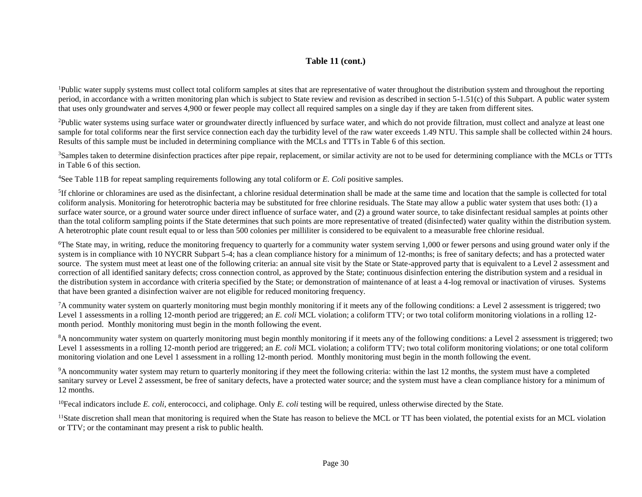#### **Table 11 (cont.)**

<sup>1</sup>Public water supply systems must collect total coliform samples at sites that are representative of water throughout the distribution system and throughout the reporting period, in accordance with a written monitoring plan which is subject to State review and revision as described in section 5-1.51(c) of this Subpart. A public water system that uses only groundwater and serves 4,900 or fewer people may collect all required samples on a single day if they are taken from different sites.

<sup>2</sup>Public water systems using surface water or groundwater directly influenced by surface water, and which do not provide filtration, must collect and analyze at least one sample for total coliforms near the first service connection each day the turbidity level of the raw water exceeds 1.49 NTU. This sample shall be collected within 24 hours. Results of this sample must be included in determining compliance with the MCLs and TTTs in Table 6 of this section.

<sup>3</sup>Samples taken to determine disinfection practices after pipe repair, replacement, or similar activity are not to be used for determining compliance with the MCLs or TTTs in Table 6 of this section.

<sup>4</sup>See Table 11B for repeat sampling requirements following any total coliform or *E. Coli* positive samples.

<sup>5</sup>If chlorine or chloramines are used as the disinfectant, a chlorine residual determination shall be made at the same time and location that the sample is collected for total coliform analysis. Monitoring for heterotrophic bacteria may be substituted for free chlorine residuals. The State may allow a public water system that uses both: (1) a surface water source, or a ground water source under direct influence of surface water, and (2) a ground water source, to take disinfectant residual samples at points other than the total coliform sampling points if the State determines that such points are more representative of treated (disinfected) water quality within the distribution system. A heterotrophic plate count result equal to or less than 500 colonies per milliliter is considered to be equivalent to a measurable free chlorine residual.

<sup>6</sup>The State may, in writing, reduce the monitoring frequency to quarterly for a community water system serving 1,000 or fewer persons and using ground water only if the system is in compliance with 10 NYCRR Subpart 5-4; has a clean compliance history for a minimum of 12-months; is free of sanitary defects; and has a protected water source. The system must meet at least one of the following criteria: an annual site visit by the State or State-approved party that is equivalent to a Level 2 assessment and correction of all identified sanitary defects; cross connection control, as approved by the State; continuous disinfection entering the distribution system and a residual in the distribution system in accordance with criteria specified by the State; or demonstration of maintenance of at least a 4-log removal or inactivation of viruses. Systems that have been granted a disinfection waiver are not eligible for reduced monitoring frequency.

<sup>7</sup>A community water system on quarterly monitoring must begin monthly monitoring if it meets any of the following conditions: a Level 2 assessment is triggered; two Level 1 assessments in a rolling 12-month period are triggered; an *E. coli* MCL violation; a coliform TTV; or two total coliform monitoring violations in a rolling 12month period. Monthly monitoring must begin in the month following the event.

<sup>8</sup>A noncommunity water system on quarterly monitoring must begin monthly monitoring if it meets any of the following conditions: a Level 2 assessment is triggered; two Level 1 assessments in a rolling 12-month period are triggered; an *E. coli* MCL violation; a coliform TTV; two total coliform monitoring violations; or one total coliform monitoring violation and one Level 1 assessment in a rolling 12-month period. Monthly monitoring must begin in the month following the event.

<sup>9</sup>A noncommunity water system may return to quarterly monitoring if they meet the following criteria: within the last 12 months, the system must have a completed sanitary survey or Level 2 assessment, be free of sanitary defects, have a protected water source; and the system must have a clean compliance history for a minimum of 12 months.

<sup>10</sup>Fecal indicators include *E. coli*, enterococci, and coliphage. Only *E. coli* testing will be required, unless otherwise directed by the State.

<sup>11</sup>State discretion shall mean that monitoring is required when the State has reason to believe the MCL or TT has been violated, the potential exists for an MCL violation or TTV; or the contaminant may present a risk to public health.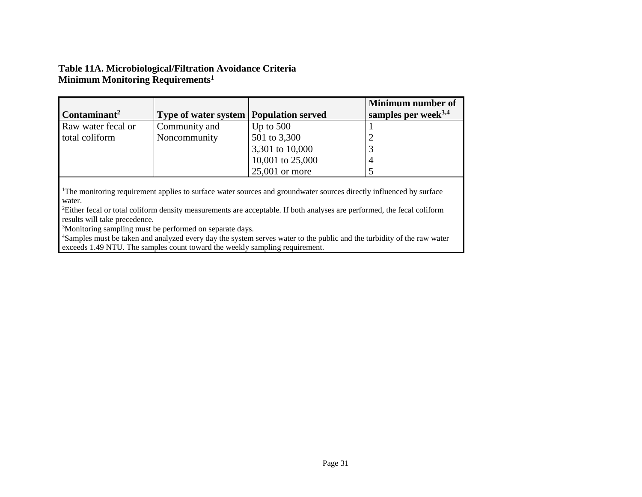#### **Table 11A. Microbiological/Filtration Avoidance Criteria Minimum Monitoring Requirements<sup>1</sup>**

| $\rm Contaminant^2$ | Type of water system   Population served |                  | Minimum number of<br>samples per week $3,4$ |
|---------------------|------------------------------------------|------------------|---------------------------------------------|
| Raw water fecal or  | Community and                            | Up to $500$      |                                             |
| total coliform      | Noncommunity                             | 501 to 3,300     |                                             |
|                     |                                          | 3,301 to 10,000  |                                             |
|                     |                                          | 10,001 to 25,000 |                                             |
|                     |                                          | $25,001$ or more |                                             |

<sup>1</sup>The monitoring requirement applies to surface water sources and groundwater sources directly influenced by surface water.

<sup>2</sup>Either fecal or total coliform density measurements are acceptable. If both analyses are performed, the fecal coliform results will take precedence.

<sup>3</sup>Monitoring sampling must be performed on separate days.

<sup>4</sup>Samples must be taken and analyzed every day the system serves water to the public and the turbidity of the raw water exceeds 1.49 NTU. The samples count toward the weekly sampling requirement.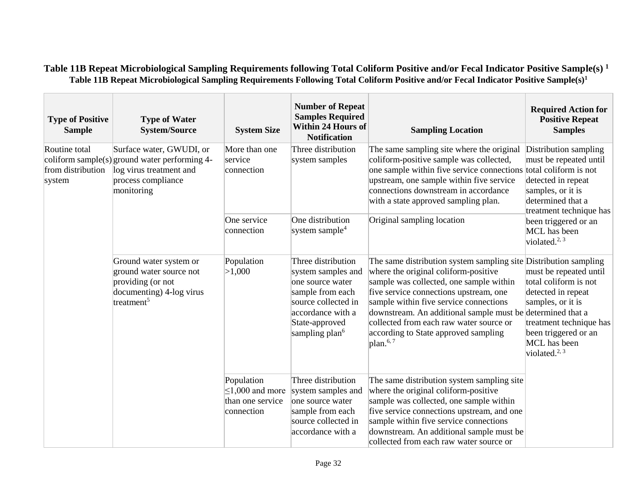| <b>Type of Positive</b><br><b>Sample</b>     | <b>Type of Water</b><br><b>System/Source</b>                                                                                               | <b>System Size</b>                                                    | <b>Number of Repeat</b><br><b>Samples Required</b><br><b>Within 24 Hours of</b><br><b>Notification</b>                                                                       | <b>Sampling Location</b>                                                                                                                                                                                                                                                                                                                                                                                          | <b>Required Action for</b><br><b>Positive Repeat</b><br><b>Samples</b>                                                                                                            |  |
|----------------------------------------------|--------------------------------------------------------------------------------------------------------------------------------------------|-----------------------------------------------------------------------|------------------------------------------------------------------------------------------------------------------------------------------------------------------------------|-------------------------------------------------------------------------------------------------------------------------------------------------------------------------------------------------------------------------------------------------------------------------------------------------------------------------------------------------------------------------------------------------------------------|-----------------------------------------------------------------------------------------------------------------------------------------------------------------------------------|--|
| Routine total<br>from distribution<br>system | Surface water, GWUDI, or<br>coliform sample(s) ground water performing $4-$<br>log virus treatment and<br>process compliance<br>monitoring | More than one<br>service<br>connection                                | Three distribution<br>system samples                                                                                                                                         | The same sampling site where the original<br>coliform-positive sample was collected,<br>one sample within five service connections total coliform is not<br>upstream, one sample within five service<br>connections downstream in accordance<br>with a state approved sampling plan.                                                                                                                              | Distribution sampling<br>must be repeated until<br>detected in repeat<br>samples, or it is<br>determined that a<br>treatment technique has                                        |  |
|                                              |                                                                                                                                            | One service<br>connection                                             | One distribution<br>system sample <sup>4</sup>                                                                                                                               | Original sampling location                                                                                                                                                                                                                                                                                                                                                                                        | been triggered or an<br>MCL has been<br>violated. $2,3$                                                                                                                           |  |
|                                              | Ground water system or<br>ground water source not<br>providing (or not<br>documenting) 4-log virus<br>treatment <sup>5</sup>               | Population<br>>1,000                                                  | Three distribution<br>system samples and<br>one source water<br>sample from each<br>source collected in<br>accordance with a<br>State-approved<br>sampling plan <sup>6</sup> | The same distribution system sampling site Distribution sampling<br>where the original coliform-positive<br>sample was collected, one sample within<br>five service connections upstream, one<br>sample within five service connections<br>downstream. An additional sample must be determined that a<br>collected from each raw water source or<br>according to State approved sampling<br>plan. <sup>6, 7</sup> | must be repeated until<br>total coliform is not<br>detected in repeat<br>samples, or it is<br>treatment technique has<br>been triggered or an<br>MCL has been<br>violated. $2, 3$ |  |
|                                              |                                                                                                                                            | Population<br>$\leq$ 1,000 and more<br>than one service<br>connection | Three distribution<br>system samples and<br>one source water<br>sample from each<br>source collected in<br>accordance with a                                                 | The same distribution system sampling site<br>where the original coliform-positive<br>sample was collected, one sample within<br>five service connections upstream, and one<br>sample within five service connections<br>downstream. An additional sample must be<br>collected from each raw water source or                                                                                                      |                                                                                                                                                                                   |  |

### **Table 11B Repeat Microbiological Sampling Requirements following Total Coliform Positive and/or Fecal Indicator Positive Sample(s) <sup>1</sup> Table 11B Repeat Microbiological Sampling Requirements Following Total Coliform Positive and/or Fecal Indicator Positive Sample(s)<sup>1</sup>**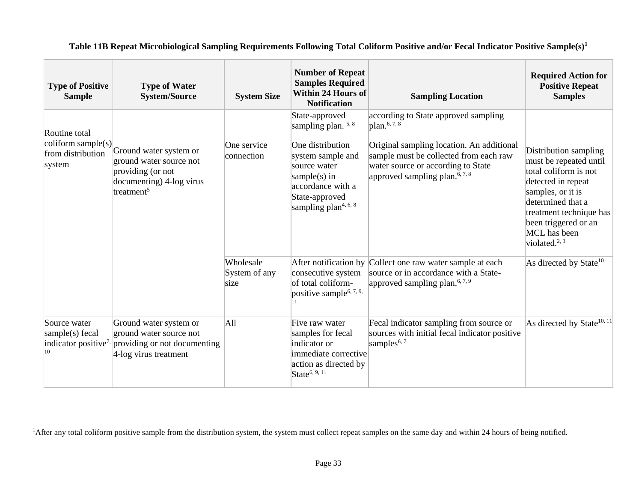**Table 11B Repeat Microbiological Sampling Requirements Following Total Coliform Positive and/or Fecal Indicator Positive Sample(s)<sup>1</sup>**

| <b>Type of Positive</b><br><b>Sample</b>                            | <b>Type of Water</b><br><b>System/Source</b>                                                                                 | <b>System Size</b>                 | <b>Number of Repeat</b><br><b>Samples Required</b><br><b>Within 24 Hours of</b><br><b>Notification</b>                                              | <b>Sampling Location</b>                                                                                                                                                | <b>Required Action for</b><br><b>Positive Repeat</b><br><b>Samples</b>                                                                                                                                                          |
|---------------------------------------------------------------------|------------------------------------------------------------------------------------------------------------------------------|------------------------------------|-----------------------------------------------------------------------------------------------------------------------------------------------------|-------------------------------------------------------------------------------------------------------------------------------------------------------------------------|---------------------------------------------------------------------------------------------------------------------------------------------------------------------------------------------------------------------------------|
| Routine total                                                       |                                                                                                                              |                                    | State-approved<br>sampling plan. <sup>5,8</sup>                                                                                                     | according to State approved sampling<br>plan. $^{6, 7, 8}$                                                                                                              |                                                                                                                                                                                                                                 |
| $\text{coliform sample(s)}$<br>from distribution<br>system          | Ground water system or<br>ground water source not<br>providing (or not<br>documenting) 4-log virus<br>treatment <sup>5</sup> | One service<br>connection          | One distribution<br>system sample and<br>source water<br>sample $(s)$ in<br>accordance with a<br>State-approved<br>sampling plan <sup>4, 6, 8</sup> | Original sampling location. An additional<br>sample must be collected from each raw<br>water source or according to State<br>approved sampling plan. <sup>6, 7, 8</sup> | Distribution sampling<br>must be repeated until<br>total coliform is not<br>detected in repeat<br>samples, or it is<br>determined that a<br>treatment technique has<br>been triggered or an<br>MCL has been<br>violated. $2, 3$ |
|                                                                     |                                                                                                                              | Wholesale<br>System of any<br>size | After notification by<br>consecutive system<br>of total coliform-<br>positive sample <sup>6, 7, 9,</sup>                                            | Collect one raw water sample at each<br>source or in accordance with a State-<br>approved sampling plan. <sup>6, 7, 9</sup>                                             | As directed by State <sup>10</sup>                                                                                                                                                                                              |
| Source water<br>sample(s) fecal<br>indicator positive <sup>7,</sup> | Ground water system or<br>ground water source not<br>providing or not documenting<br>4-log virus treatment                   | A11                                | Five raw water<br>samples for fecal<br>indicator or<br>immediate corrective<br>action as directed by<br>State <sup>6, 9, 11</sup>                   | Fecal indicator sampling from source or<br>sources with initial fecal indicator positive<br>samples <sup>6, 7</sup>                                                     | As directed by State <sup>10, 11</sup>                                                                                                                                                                                          |

<sup>1</sup>After any total coliform positive sample from the distribution system, the system must collect repeat samples on the same day and within 24 hours of being notified.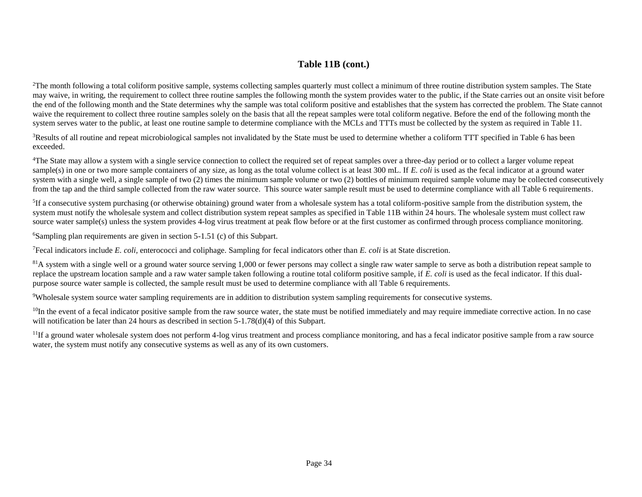#### **Table 11B (cont.)**

<sup>2</sup>The month following a total coliform positive sample, systems collecting samples quarterly must collect a minimum of three routine distribution system samples. The State may waive, in writing, the requirement to collect three routine samples the following month the system provides water to the public, if the State carries out an onsite visit before the end of the following month and the State determines why the sample was total coliform positive and establishes that the system has corrected the problem. The State cannot waive the requirement to collect three routine samples solely on the basis that all the repeat samples were total coliform negative. Before the end of the following month the system serves water to the public, at least one routine sample to determine compliance with the MCLs and TTTs must be collected by the system as required in Table 11.

<sup>3</sup>Results of all routine and repeat microbiological samples not invalidated by the State must be used to determine whether a coliform TTT specified in Table 6 has been exceeded.

<sup>4</sup>The State may allow a system with a single service connection to collect the required set of repeat samples over a three-day period or to collect a larger volume repeat sample(s) in one or two more sample containers of any size, as long as the total volume collect is at least 300 mL. If *E. coli* is used as the fecal indicator at a ground water system with a single well, a single sample of two (2) times the minimum sample volume or two (2) bottles of minimum required sample volume may be collected consecutively from the tap and the third sample collected from the raw water source. This source water sample result must be used to determine compliance with all Table 6 requirements.

 ${}^{5}$ If a consecutive system purchasing (or otherwise obtaining) ground water from a wholesale system has a total coliform-positive sample from the distribution system, the system must notify the wholesale system and collect distribution system repeat samples as specified in Table 11B within 24 hours. The wholesale system must collect raw source water sample(s) unless the system provides 4-log virus treatment at peak flow before or at the first customer as confirmed through process compliance monitoring.

<sup>6</sup>Sampling plan requirements are given in section 5-1.51 (c) of this Subpart.

<sup>7</sup>Fecal indicators include *E. coli,* enterococci and coliphage. Sampling for fecal indicators other than *E. coli* is at State discretion.

 $81A$  system with a single well or a ground water source serving 1,000 or fewer persons may collect a single raw water sample to serve as both a distribution repeat sample to replace the upstream location sample and a raw water sample taken following a routine total coliform positive sample, if *E. coli* is used as the fecal indicator. If this dualpurpose source water sample is collected, the sample result must be used to determine compliance with all Table 6 requirements.

<sup>9</sup>Wholesale system source water sampling requirements are in addition to distribution system sampling requirements for consecutive systems.

 $10$ In the event of a fecal indicator positive sample from the raw source water, the state must be notified immediately and may require immediate corrective action. In no case will notification be later than 24 hours as described in section 5-1.78(d)(4) of this Subpart.

<sup>11</sup>If a ground water wholesale system does not perform 4-log virus treatment and process compliance monitoring, and has a fecal indicator positive sample from a raw source water, the system must notify any consecutive systems as well as any of its own customers.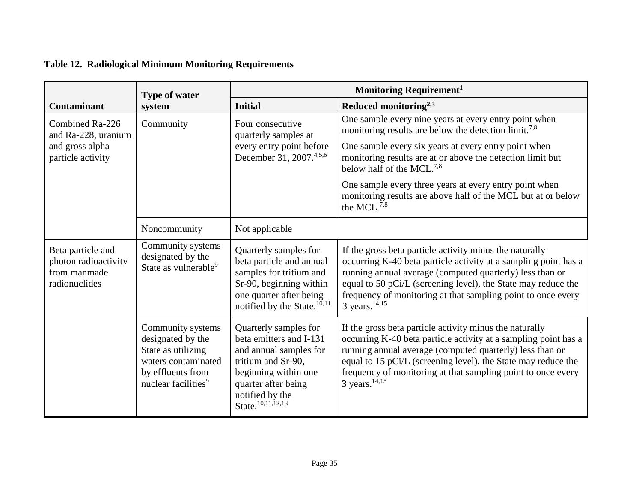# **Table 12. Radiological Minimum Monitoring Requirements**

|                                                                                | <b>Type of water</b>                                                                                                                        |                                                                                                                                                                                                     | <b>Monitoring Requirement</b> <sup>1</sup>                                                                                                                                                                                                                                                                                                     |  |  |
|--------------------------------------------------------------------------------|---------------------------------------------------------------------------------------------------------------------------------------------|-----------------------------------------------------------------------------------------------------------------------------------------------------------------------------------------------------|------------------------------------------------------------------------------------------------------------------------------------------------------------------------------------------------------------------------------------------------------------------------------------------------------------------------------------------------|--|--|
| Contaminant                                                                    | system                                                                                                                                      | Initial                                                                                                                                                                                             | Reduced monitoring $2,3$                                                                                                                                                                                                                                                                                                                       |  |  |
| Combined Ra-226<br>and Ra-228, uranium<br>and gross alpha<br>particle activity | Community<br>Four consecutive<br>quarterly samples at<br>every entry point before<br>December 31, 2007.4,5,6                                |                                                                                                                                                                                                     | One sample every nine years at every entry point when<br>monitoring results are below the detection limit. <sup>7,8</sup><br>One sample every six years at every entry point when<br>monitoring results are at or above the detection limit but<br>below half of the MCL. <sup>7,8</sup>                                                       |  |  |
|                                                                                |                                                                                                                                             |                                                                                                                                                                                                     | One sample every three years at every entry point when<br>monitoring results are above half of the MCL but at or below<br>the MCL. $^{7,8}$                                                                                                                                                                                                    |  |  |
|                                                                                | Noncommunity                                                                                                                                | Not applicable                                                                                                                                                                                      |                                                                                                                                                                                                                                                                                                                                                |  |  |
| Beta particle and<br>photon radioactivity<br>from manmade<br>radionuclides     | Community systems<br>designated by the<br>State as vulnerable <sup>9</sup>                                                                  | Quarterly samples for<br>beta particle and annual<br>samples for tritium and<br>Sr-90, beginning within<br>one quarter after being<br>notified by the State. <sup>10,11</sup>                       | If the gross beta particle activity minus the naturally<br>occurring K-40 beta particle activity at a sampling point has a<br>running annual average (computed quarterly) less than or<br>equal to 50 pCi/L (screening level), the State may reduce the<br>frequency of monitoring at that sampling point to once every<br>3 years. $14,15$    |  |  |
|                                                                                | Community systems<br>designated by the<br>State as utilizing<br>waters contaminated<br>by effluents from<br>nuclear facilities <sup>9</sup> | Quarterly samples for<br>beta emitters and I-131<br>and annual samples for<br>tritium and Sr-90,<br>beginning within one<br>quarter after being<br>notified by the<br>State. <sup>10,11,12,13</sup> | If the gross beta particle activity minus the naturally<br>occurring K-40 beta particle activity at a sampling point has a<br>running annual average (computed quarterly) less than or<br>equal to 15 pCi/L (screening level), the State may reduce the<br>frequency of monitoring at that sampling point to once every<br>3 years. $^{14,15}$ |  |  |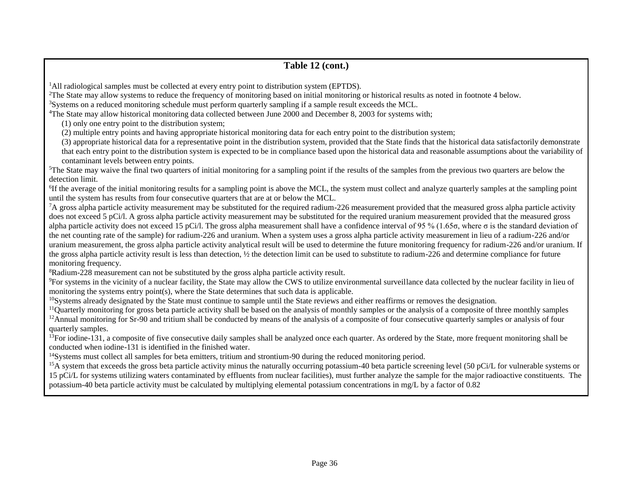### **Table 12 (cont.)**

<sup>1</sup>All radiological samples must be collected at every entry point to distribution system (EPTDS).

<sup>2</sup>The State may allow systems to reduce the frequency of monitoring based on initial monitoring or historical results as noted in footnote 4 below.

<sup>3</sup>Systems on a reduced monitoring schedule must perform quarterly sampling if a sample result exceeds the MCL.

<sup>4</sup>The State may allow historical monitoring data collected between June 2000 and December 8, 2003 for systems with;

(1) only one entry point to the distribution system;

(2) multiple entry points and having appropriate historical monitoring data for each entry point to the distribution system;

(3) appropriate historical data for a representative point in the distribution system, provided that the State finds that the historical data satisfactorily demonstrate that each entry point to the distribution system is expected to be in compliance based upon the historical data and reasonable assumptions about the variability of contaminant levels between entry points.

<sup>5</sup>The State may waive the final two quarters of initial monitoring for a sampling point if the results of the samples from the previous two quarters are below the detection limit.

<sup>6</sup>If the average of the initial monitoring results for a sampling point is above the MCL, the system must collect and analyze quarterly samples at the sampling point until the system has results from four consecutive quarters that are at or below the MCL.

 ${}^{7}A$  gross alpha particle activity measurement may be substituted for the required radium-226 measurement provided that the measured gross alpha particle activity does not exceed 5 pCi/l. A gross alpha particle activity measurement may be substituted for the required uranium measurement provided that the measured gross alpha particle activity does not exceed 15 pCi/l. The gross alpha measurement shall have a confidence interval of 95 % (1.65 $\sigma$ , where  $\sigma$  is the standard deviation of the net counting rate of the sample) for radium-226 and uranium. When a system uses a gross alpha particle activity measurement in lieu of a radium-226 and/or uranium measurement, the gross alpha particle activity analytical result will be used to determine the future monitoring frequency for radium-226 and/or uranium. If the gross alpha particle activity result is less than detection, ½ the detection limit can be used to substitute to radium-226 and determine compliance for future monitoring frequency.

<sup>8</sup>Radium-228 measurement can not be substituted by the gross alpha particle activity result.

<sup>9</sup>For systems in the vicinity of a nuclear facility, the State may allow the CWS to utilize environmental surveillance data collected by the nuclear facility in lieu of monitoring the systems entry point(s), where the State determines that such data is applicable.

 $10$ Systems already designated by the State must continue to sample until the State reviews and either reaffirms or removes the designation.

<sup>11</sup>Quarterly monitoring for gross beta particle activity shall be based on the analysis of monthly samples or the analysis of a composite of three monthly samples  $12$ Annual monitoring for Sr-90 and tritium shall be conducted by means of the analysis of a composite of four consecutive quarterly samples or analysis of four quarterly samples.

<sup>13</sup>For iodine-131, a composite of five consecutive daily samples shall be analyzed once each quarter. As ordered by the State, more frequent monitoring shall be conducted when iodine-131 is identified in the finished water.

<sup>14</sup>Systems must collect all samples for beta emitters, tritium and strontium-90 during the reduced monitoring period.

<sup>15</sup>A system that exceeds the gross beta particle activity minus the naturally occurring potassium-40 beta particle screening level (50 pCi/L for vulnerable systems or 15 pCi/L for systems utilizing waters contaminated by effluents from nuclear facilities), must further analyze the sample for the major radioactive constituents. The potassium-40 beta particle activity must be calculated by multiplying elemental potassium concentrations in mg/L by a factor of 0.82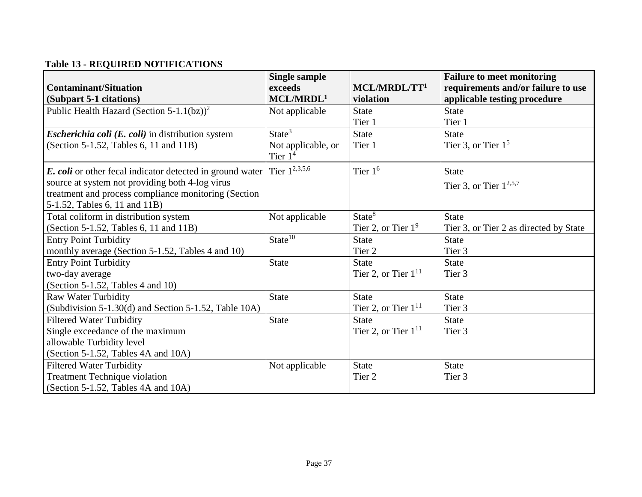# **Table 13 - REQUIRED NOTIFICATIONS**

|                                                                  | <b>Single sample</b>                       |                          | <b>Failure to meet monitoring</b>      |
|------------------------------------------------------------------|--------------------------------------------|--------------------------|----------------------------------------|
| <b>Contaminant/Situation</b>                                     | exceeds                                    | MCL/MRDL/TT <sup>1</sup> | requirements and/or failure to use     |
| (Subpart 5-1 citations)                                          | MCL/MRDL <sup>1</sup>                      | violation                | applicable testing procedure           |
| Public Health Hazard (Section 5-1.1(bz)) <sup>2</sup>            | Not applicable                             | <b>State</b>             | <b>State</b>                           |
|                                                                  |                                            | Tier 1                   | Tier 1                                 |
| <i>Escherichia coli (E. coli)</i> in distribution system         | State <sup><math>\overline{3}</math></sup> | <b>State</b>             | <b>State</b>                           |
| (Section 5-1.52, Tables 6, 11 and 11B)                           | Not applicable, or                         | Tier 1                   | Tier 3, or Tier $15$                   |
|                                                                  | Tier $14$                                  |                          |                                        |
| <b>E.</b> coli or other fecal indicator detected in ground water | Tier $1^{2,3,5,6}$                         | Tier $16$                | <b>State</b>                           |
| source at system not providing both 4-log virus                  |                                            |                          | Tier 3, or Tier $1^{2,5,7}$            |
| treatment and process compliance monitoring (Section             |                                            |                          |                                        |
| 5-1.52, Tables 6, 11 and 11B)                                    |                                            |                          |                                        |
| Total coliform in distribution system                            | Not applicable                             | State <sup>8</sup>       | <b>State</b>                           |
| (Section 5-1.52, Tables 6, 11 and 11B)                           |                                            | Tier 2, or Tier $19$     | Tier 3, or Tier 2 as directed by State |
| <b>Entry Point Turbidity</b>                                     | State <sup>10</sup>                        | <b>State</b>             | <b>State</b>                           |
| monthly average (Section 5-1.52, Tables 4 and 10)                |                                            | Tier 2                   | Tier 3                                 |
| <b>Entry Point Turbidity</b>                                     | <b>State</b>                               | <b>State</b>             | <b>State</b>                           |
| two-day average                                                  |                                            | Tier 2, or Tier $1^{11}$ | Tier 3                                 |
| (Section 5-1.52, Tables 4 and 10)                                |                                            |                          |                                        |
| <b>Raw Water Turbidity</b>                                       | <b>State</b>                               | <b>State</b>             | <b>State</b>                           |
| (Subdivision 5-1.30(d) and Section 5-1.52, Table 10A)            |                                            | Tier 2, or Tier $1^{11}$ | Tier 3                                 |
| <b>Filtered Water Turbidity</b>                                  | <b>State</b>                               | <b>State</b>             | <b>State</b>                           |
| Single exceedance of the maximum                                 |                                            | Tier 2, or Tier $1^{11}$ | Tier 3                                 |
| allowable Turbidity level                                        |                                            |                          |                                        |
| (Section 5-1.52, Tables 4A and 10A)                              |                                            |                          |                                        |
| <b>Filtered Water Turbidity</b>                                  | Not applicable                             | <b>State</b>             | <b>State</b>                           |
| <b>Treatment Technique violation</b>                             |                                            | Tier <sub>2</sub>        | Tier 3                                 |
| (Section 5-1.52, Tables 4A and 10A)                              |                                            |                          |                                        |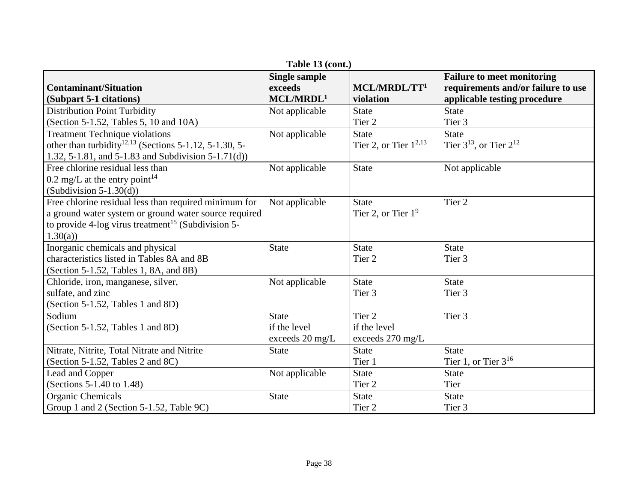| Table 13 (cont.)                                                                                                                                                                            |                                                           |                                                      |                                                                                                         |  |  |  |  |
|---------------------------------------------------------------------------------------------------------------------------------------------------------------------------------------------|-----------------------------------------------------------|------------------------------------------------------|---------------------------------------------------------------------------------------------------------|--|--|--|--|
| <b>Contaminant/Situation</b><br>(Subpart 5-1 citations)                                                                                                                                     | <b>Single sample</b><br>exceeds<br>MCL/MRDL <sup>1</sup>  | MCL/MRDL/TT <sup>1</sup><br>violation                | <b>Failure to meet monitoring</b><br>requirements and/or failure to use<br>applicable testing procedure |  |  |  |  |
| <b>Distribution Point Turbidity</b><br>(Section 5-1.52, Tables 5, 10 and 10A)                                                                                                               | Not applicable                                            | <b>State</b><br>Tier 2                               | <b>State</b><br>Tier <sub>3</sub>                                                                       |  |  |  |  |
| <b>Treatment Technique violations</b><br>other than turbidity <sup>12,13</sup> (Sections 5-1.12, 5-1.30, 5-<br>1.32, 5-1.81, and 5-1.83 and Subdivision 5-1.71(d))                          | Not applicable                                            | <b>State</b><br>Tier 2, or Tier $1^{2,13}$           | <b>State</b><br>Tier $3^{13}$ , or Tier $2^{12}$                                                        |  |  |  |  |
| Free chlorine residual less than<br>0.2 mg/L at the entry point <sup>14</sup><br>$(Subdivision 5-1.30(d))$                                                                                  | Not applicable                                            | <b>State</b>                                         | Not applicable                                                                                          |  |  |  |  |
| Free chlorine residual less than required minimum for<br>a ground water system or ground water source required<br>to provide 4-log virus treatment <sup>15</sup> (Subdivision 5-<br>1.30(a) | Not applicable                                            | <b>State</b><br>Tier 2, or Tier $19$                 | Tier <sub>2</sub>                                                                                       |  |  |  |  |
| Inorganic chemicals and physical<br>characteristics listed in Tables 8A and 8B<br>(Section 5-1.52, Tables 1, 8A, and 8B)                                                                    | <b>State</b>                                              | <b>State</b><br>Tier 2                               | <b>State</b><br>Tier <sub>3</sub>                                                                       |  |  |  |  |
| Chloride, iron, manganese, silver,<br>sulfate, and zinc<br>(Section 5-1.52, Tables 1 and 8D)                                                                                                | Not applicable                                            | <b>State</b><br>Tier <sub>3</sub>                    | <b>State</b><br>Tier <sub>3</sub>                                                                       |  |  |  |  |
| Sodium<br>(Section 5-1.52, Tables 1 and 8D)                                                                                                                                                 | <b>State</b><br>if the level<br>exceeds $20 \text{ mg/L}$ | Tier 2<br>if the level<br>exceeds $270 \text{ mg/L}$ | Tier 3                                                                                                  |  |  |  |  |
| Nitrate, Nitrite, Total Nitrate and Nitrite<br>(Section 5-1.52, Tables 2 and 8C)                                                                                                            | <b>State</b>                                              | <b>State</b><br>Tier 1                               | <b>State</b><br>Tier 1, or Tier $3^{16}$                                                                |  |  |  |  |
| Lead and Copper<br>(Sections 5-1.40 to 1.48)                                                                                                                                                | Not applicable                                            | <b>State</b><br>Tier 2                               | <b>State</b><br>Tier                                                                                    |  |  |  |  |
| Organic Chemicals<br>Group 1 and 2 (Section 5-1.52, Table 9C)                                                                                                                               | <b>State</b>                                              | <b>State</b><br>Tier 2                               | <b>State</b><br>Tier 3                                                                                  |  |  |  |  |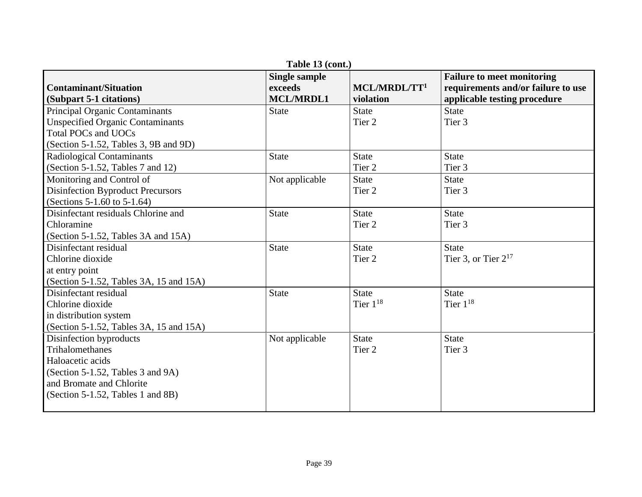| Table 13 (cont.)                         |                      |                          |                                    |  |  |  |  |
|------------------------------------------|----------------------|--------------------------|------------------------------------|--|--|--|--|
|                                          | <b>Single sample</b> |                          | <b>Failure to meet monitoring</b>  |  |  |  |  |
| <b>Contaminant/Situation</b>             | exceeds              | MCL/MRDL/TT <sup>1</sup> | requirements and/or failure to use |  |  |  |  |
| (Subpart 5-1 citations)                  | <b>MCL/MRDL1</b>     | violation                | applicable testing procedure       |  |  |  |  |
| Principal Organic Contaminants           | <b>State</b>         | <b>State</b>             | <b>State</b>                       |  |  |  |  |
| <b>Unspecified Organic Contaminants</b>  |                      | Tier 2                   | Tier <sub>3</sub>                  |  |  |  |  |
| <b>Total POCs and UOCs</b>               |                      |                          |                                    |  |  |  |  |
| (Section 5-1.52, Tables 3, 9B and 9D)    |                      |                          |                                    |  |  |  |  |
| <b>Radiological Contaminants</b>         | <b>State</b>         | <b>State</b>             | <b>State</b>                       |  |  |  |  |
| (Section 5-1.52, Tables 7 and 12)        |                      | Tier <sub>2</sub>        | Tier <sub>3</sub>                  |  |  |  |  |
| Monitoring and Control of                | Not applicable       | <b>State</b>             | <b>State</b>                       |  |  |  |  |
| <b>Disinfection Byproduct Precursors</b> |                      | Tier 2                   | Tier 3                             |  |  |  |  |
| (Sections 5-1.60 to 5-1.64)              |                      |                          |                                    |  |  |  |  |
| Disinfectant residuals Chlorine and      | <b>State</b>         | <b>State</b>             | <b>State</b>                       |  |  |  |  |
| Chloramine                               |                      | Tier <sub>2</sub>        | Tier 3                             |  |  |  |  |
| (Section 5-1.52, Tables 3A and 15A)      |                      |                          |                                    |  |  |  |  |
| Disinfectant residual                    | <b>State</b>         | <b>State</b>             | <b>State</b>                       |  |  |  |  |
| Chlorine dioxide                         |                      | Tier 2                   | Tier 3, or Tier $2^{17}$           |  |  |  |  |
| at entry point                           |                      |                          |                                    |  |  |  |  |
| (Section 5-1.52, Tables 3A, 15 and 15A)  |                      |                          |                                    |  |  |  |  |
| Disinfectant residual                    | <b>State</b>         | <b>State</b>             | <b>State</b>                       |  |  |  |  |
| Chlorine dioxide                         |                      | Tier $1^{18}$            | Tier $1^{18}$                      |  |  |  |  |
| in distribution system                   |                      |                          |                                    |  |  |  |  |
| (Section 5-1.52, Tables 3A, 15 and 15A)  |                      |                          |                                    |  |  |  |  |
| Disinfection byproducts                  | Not applicable       | <b>State</b>             | <b>State</b>                       |  |  |  |  |
| Trihalomethanes                          |                      | Tier <sub>2</sub>        | Tier 3                             |  |  |  |  |
| Haloacetic acids                         |                      |                          |                                    |  |  |  |  |
| (Section 5-1.52, Tables 3 and $9A$ )     |                      |                          |                                    |  |  |  |  |
| and Bromate and Chlorite                 |                      |                          |                                    |  |  |  |  |
| (Section 5-1.52, Tables 1 and 8B)        |                      |                          |                                    |  |  |  |  |
|                                          |                      |                          |                                    |  |  |  |  |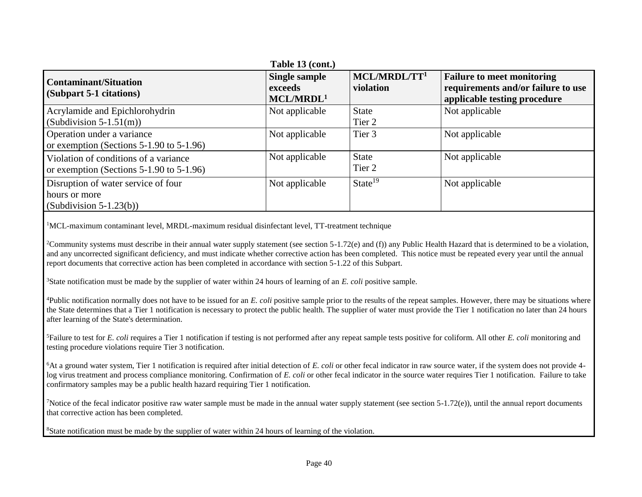| Table 13 (cont.)                                                                       |                                                          |                                       |                                                                                                         |  |  |  |
|----------------------------------------------------------------------------------------|----------------------------------------------------------|---------------------------------------|---------------------------------------------------------------------------------------------------------|--|--|--|
| <b>Contaminant/Situation</b><br>(Subpart 5-1 citations)                                | <b>Single sample</b><br>exceeds<br>MCL/MRDL <sup>1</sup> | MCL/MRDL/TT <sup>1</sup><br>violation | <b>Failure to meet monitoring</b><br>requirements and/or failure to use<br>applicable testing procedure |  |  |  |
| Acrylamide and Epichlorohydrin                                                         | Not applicable                                           | <b>State</b>                          | Not applicable                                                                                          |  |  |  |
| $(Subdivision 5-1.51(m))$                                                              |                                                          | Tier 2                                |                                                                                                         |  |  |  |
| Operation under a variance<br>or exemption (Sections $5-1.90$ to $5-1.96$ )            | Not applicable                                           | Tier 3                                | Not applicable                                                                                          |  |  |  |
| Violation of conditions of a variance<br>or exemption (Sections $5-1.90$ to $5-1.96$ ) | Not applicable                                           | <b>State</b><br>Tier 2                | Not applicable                                                                                          |  |  |  |
| Disruption of water service of four<br>hours or more                                   | Not applicable                                           | State $19$                            | Not applicable                                                                                          |  |  |  |
| $(Subdivision 5-1.23(b))$                                                              |                                                          |                                       |                                                                                                         |  |  |  |

<sup>1</sup>MCL-maximum contaminant level, MRDL-maximum residual disinfectant level, TT-treatment technique

<sup>2</sup>Community systems must describe in their annual water supply statement (see section 5-1.72(e) and (f)) any Public Health Hazard that is determined to be a violation, and any uncorrected significant deficiency, and must indicate whether corrective action has been completed. This notice must be repeated every year until the annual report documents that corrective action has been completed in accordance with section 5-1.22 of this Subpart.

<sup>3</sup>State notification must be made by the supplier of water within 24 hours of learning of an *E. coli* positive sample.

<sup>4</sup>Public notification normally does not have to be issued for an *E. coli* positive sample prior to the results of the repeat samples. However, there may be situations where the State determines that a Tier 1 notification is necessary to protect the public health. The supplier of water must provide the Tier 1 notification no later than 24 hours after learning of the State's determination.

<sup>5</sup>Failure to test for *E. coli* requires a Tier 1 notification if testing is not performed after any repeat sample tests positive for coliform. All other *E. coli* monitoring and testing procedure violations require Tier 3 notification.

<sup>6</sup>At a ground water system, Tier 1 notification is required after initial detection of *E. coli* or other fecal indicator in raw source water, if the system does not provide 4log virus treatment and process compliance monitoring. Confirmation of *E. coli* or other fecal indicator in the source water requires Tier 1 notification. Failure to take confirmatory samples may be a public health hazard requiring Tier 1 notification.

<sup>7</sup>Notice of the fecal indicator positive raw water sample must be made in the annual water supply statement (see section  $5-1.72(e)$ ), until the annual report documents that corrective action has been completed.

8State notification must be made by the supplier of water within 24 hours of learning of the violation.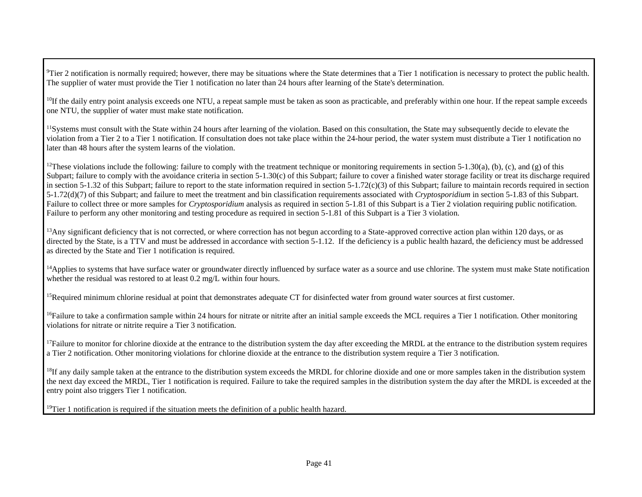The 2 notification is normally required; however, there may be situations where the State determines that a Tier 1 notification is necessary to protect the public health. The supplier of water must provide the Tier 1 notification no later than 24 hours after learning of the State's determination.

 $^{10}$ If the daily entry point analysis exceeds one NTU, a repeat sample must be taken as soon as practicable, and preferably within one hour. If the repeat sample exceeds one NTU, the supplier of water must make state notification.

<sup>11</sup>Systems must consult with the State within 24 hours after learning of the violation. Based on this consultation, the State may subsequently decide to elevate the violation from a Tier 2 to a Tier 1 notification. If consultation does not take place within the 24-hour period, the water system must distribute a Tier 1 notification no later than 48 hours after the system learns of the violation.

<sup>12</sup>These violations include the following: failure to comply with the treatment technique or monitoring requirements in section 5-1.30(a), (b), (c), and (g) of this Subpart; failure to comply with the avoidance criteria in section 5-1.30(c) of this Subpart; failure to cover a finished water storage facility or treat its discharge required in section 5-1.32 of this Subpart; failure to report to the state information required in section 5-1.72(c)(3) of this Subpart; failure to maintain records required in section 5-1.72(d)(7) of this Subpart; and failure to meet the treatment and bin classification requirements associated with *Cryptosporidium* in section 5-1.83 of this Subpart. Failure to collect three or more samples for *Cryptosporidium* analysis as required in section 5-1.81 of this Subpart is a Tier 2 violation requiring public notification. Failure to perform any other monitoring and testing procedure as required in section 5-1.81 of this Subpart is a Tier 3 violation.

<sup>13</sup>Any significant deficiency that is not corrected, or where correction has not begun according to a State-approved corrective action plan within 120 days, or as directed by the State, is a TTV and must be addressed in accordance with section 5-1.12. If the deficiency is a public health hazard, the deficiency must be addressed as directed by the State and Tier 1 notification is required.

<sup>14</sup>Applies to systems that have surface water or groundwater directly influenced by surface water as a source and use chlorine. The system must make State notification whether the residual was restored to at least 0.2 mg/L within four hours.

<sup>15</sup>Required minimum chlorine residual at point that demonstrates adequate CT for disinfected water from ground water sources at first customer.

<sup>16</sup>Failure to take a confirmation sample within 24 hours for nitrate or nitrite after an initial sample exceeds the MCL requires a Tier 1 notification. Other monitoring violations for nitrate or nitrite require a Tier 3 notification.

 $17$ Failure to monitor for chlorine dioxide at the entrance to the distribution system the day after exceeding the MRDL at the entrance to the distribution system requires a Tier 2 notification. Other monitoring violations for chlorine dioxide at the entrance to the distribution system require a Tier 3 notification.

 $^{18}$ If any daily sample taken at the entrance to the distribution system exceeds the MRDL for chlorine dioxide and one or more samples taken in the distribution system the next day exceed the MRDL, Tier 1 notification is required. Failure to take the required samples in the distribution system the day after the MRDL is exceeded at the entry point also triggers Tier 1 notification.

<sup>19</sup>Tier 1 notification is required if the situation meets the definition of a public health hazard.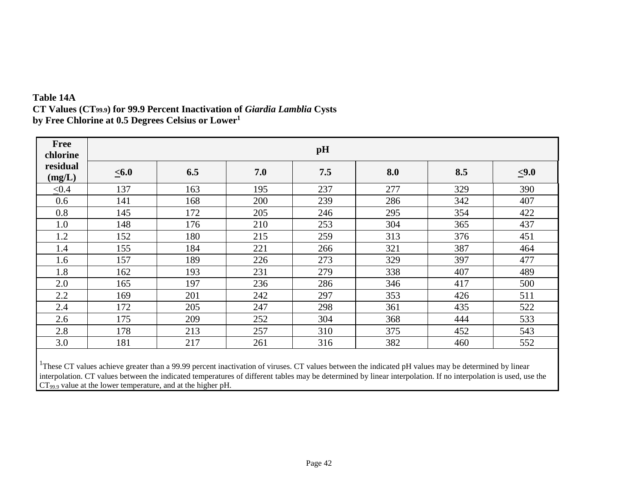### **Table 14A CT Values (CT99.9) for 99.9 Percent Inactivation of** *Giardia Lamblia* **Cysts by Free Chlorine at 0.5 Degrees Celsius or Lower<sup>1</sup>**

| <b>Free</b><br>chlorine | pH         |     |     |     |     |     |            |  |  |
|-------------------------|------------|-----|-----|-----|-----|-----|------------|--|--|
| residual<br>(mg/L)      | $\leq 6.0$ | 6.5 | 7.0 | 7.5 | 8.0 | 8.5 | $\leq 9.0$ |  |  |
| $\leq 0.4$              | 137        | 163 | 195 | 237 | 277 | 329 | 390        |  |  |
| 0.6                     | 141        | 168 | 200 | 239 | 286 | 342 | 407        |  |  |
| 0.8                     | 145        | 172 | 205 | 246 | 295 | 354 | 422        |  |  |
| 1.0                     | 148        | 176 | 210 | 253 | 304 | 365 | 437        |  |  |
| 1.2                     | 152        | 180 | 215 | 259 | 313 | 376 | 451        |  |  |
| 1.4                     | 155        | 184 | 221 | 266 | 321 | 387 | 464        |  |  |
| 1.6                     | 157        | 189 | 226 | 273 | 329 | 397 | 477        |  |  |
| 1.8                     | 162        | 193 | 231 | 279 | 338 | 407 | 489        |  |  |
| 2.0                     | 165        | 197 | 236 | 286 | 346 | 417 | 500        |  |  |
| 2.2                     | 169        | 201 | 242 | 297 | 353 | 426 | 511        |  |  |
| 2.4                     | 172        | 205 | 247 | 298 | 361 | 435 | 522        |  |  |
| 2.6                     | 175        | 209 | 252 | 304 | 368 | 444 | 533        |  |  |
| 2.8                     | 178        | 213 | 257 | 310 | 375 | 452 | 543        |  |  |
| 3.0                     | 181        | 217 | 261 | 316 | 382 | 460 | 552        |  |  |

<sup>1</sup>These CT values achieve greater than a 99.99 percent inactivation of viruses. CT values between the indicated pH values may be determined by linear interpolation. CT values between the indicated temperatures of different tables may be determined by linear interpolation. If no interpolation is used, use the CT99.9 value at the lower temperature, and at the higher pH.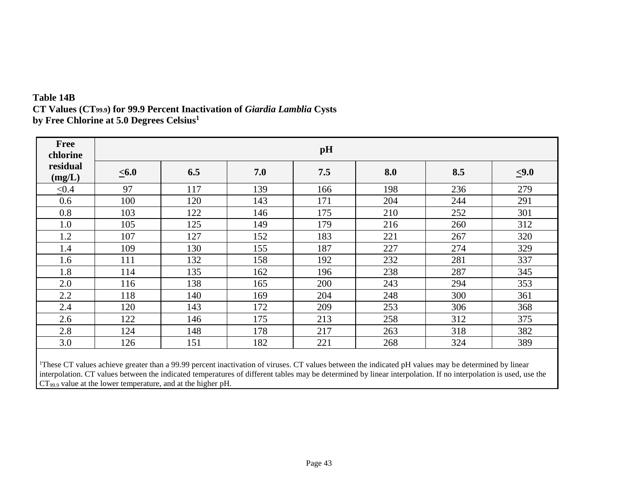| <b>Table 14B</b>                                                                              |  |
|-----------------------------------------------------------------------------------------------|--|
| CT Values (CT <sub>99.9</sub> ) for 99.9 Percent Inactivation of <i>Giardia Lamblia</i> Cysts |  |
| by Free Chlorine at 5.0 Degrees Celsius <sup>1</sup>                                          |  |

| <b>Free</b><br>chlorine |            |     |     | pH  |     |     |            |
|-------------------------|------------|-----|-----|-----|-----|-----|------------|
| residual<br>(mg/L)      | $\leq 6.0$ | 6.5 | 7.0 | 7.5 | 8.0 | 8.5 | $\leq 9.0$ |
| ${\leq}0.4$             | 97         | 117 | 139 | 166 | 198 | 236 | 279        |
| 0.6                     | 100        | 120 | 143 | 171 | 204 | 244 | 291        |
| 0.8                     | 103        | 122 | 146 | 175 | 210 | 252 | 301        |
| 1.0                     | 105        | 125 | 149 | 179 | 216 | 260 | 312        |
| 1.2                     | 107        | 127 | 152 | 183 | 221 | 267 | 320        |
| 1.4                     | 109        | 130 | 155 | 187 | 227 | 274 | 329        |
| 1.6                     | 111        | 132 | 158 | 192 | 232 | 281 | 337        |
| 1.8                     | 114        | 135 | 162 | 196 | 238 | 287 | 345        |
| 2.0                     | 116        | 138 | 165 | 200 | 243 | 294 | 353        |
| 2.2                     | 118        | 140 | 169 | 204 | 248 | 300 | 361        |
| 2.4                     | 120        | 143 | 172 | 209 | 253 | 306 | 368        |
| 2.6                     | 122        | 146 | 175 | 213 | 258 | 312 | 375        |
| 2.8                     | 124        | 148 | 178 | 217 | 263 | 318 | 382        |
| 3.0                     | 126        | 151 | 182 | 221 | 268 | 324 | 389        |

<sup>1</sup>These CT values achieve greater than a 99.99 percent inactivation of viruses. CT values between the indicated pH values may be determined by linear interpolation. CT values between the indicated temperatures of different tables may be determined by linear interpolation. If no interpolation is used, use the  $CT_{99.9}$  value at the lower temperature, and at the higher pH.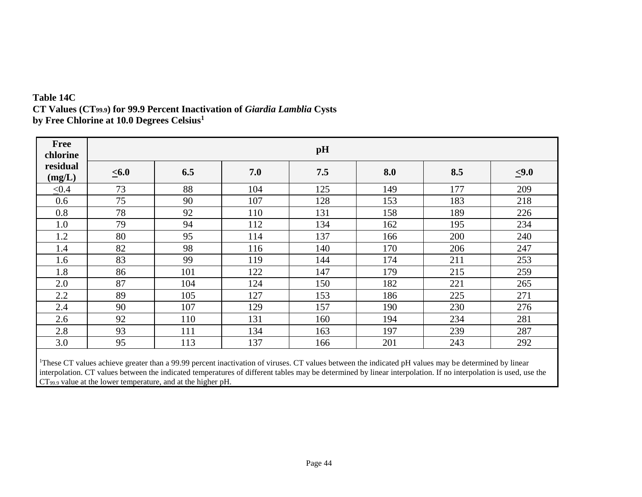### **Table 14C CT Values (CT99.9) for 99.9 Percent Inactivation of** *Giardia Lamblia* **Cysts by Free Chlorine at 10.0 Degrees Celsius<sup>1</sup>**

| <b>Free</b><br>chlorine |         |     |     | pH  |     |     |            |
|-------------------------|---------|-----|-----|-----|-----|-----|------------|
| residual<br>(mg/L)      | $≤ 6.0$ | 6.5 | 7.0 | 7.5 | 8.0 | 8.5 | $\leq 9.0$ |
| $\leq 0.4$              | 73      | 88  | 104 | 125 | 149 | 177 | 209        |
| 0.6                     | 75      | 90  | 107 | 128 | 153 | 183 | 218        |
| 0.8                     | 78      | 92  | 110 | 131 | 158 | 189 | 226        |
| 1.0                     | 79      | 94  | 112 | 134 | 162 | 195 | 234        |
| 1.2                     | 80      | 95  | 114 | 137 | 166 | 200 | 240        |
| 1.4                     | 82      | 98  | 116 | 140 | 170 | 206 | 247        |
| 1.6                     | 83      | 99  | 119 | 144 | 174 | 211 | 253        |
| 1.8                     | 86      | 101 | 122 | 147 | 179 | 215 | 259        |
| 2.0                     | 87      | 104 | 124 | 150 | 182 | 221 | 265        |
| 2.2                     | 89      | 105 | 127 | 153 | 186 | 225 | 271        |
| 2.4                     | 90      | 107 | 129 | 157 | 190 | 230 | 276        |
| 2.6                     | 92      | 110 | 131 | 160 | 194 | 234 | 281        |
| 2.8                     | 93      | 111 | 134 | 163 | 197 | 239 | 287        |
| 3.0                     | 95      | 113 | 137 | 166 | 201 | 243 | 292        |

<sup>1</sup>These CT values achieve greater than a 99.99 percent inactivation of viruses. CT values between the indicated pH values may be determined by linear interpolation. CT values between the indicated temperatures of different tables may be determined by linear interpolation. If no interpolation is used, use the CT<sub>99.9</sub> value at the lower temperature, and at the higher pH.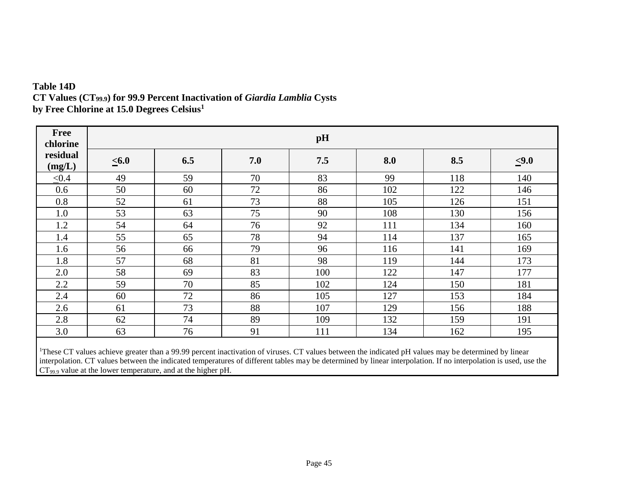### **Table 14D CT Values (CT99.9) for 99.9 Percent Inactivation of** *Giardia Lamblia* **Cysts by Free Chlorine at 15.0 Degrees Celsius<sup>1</sup>**

| Free<br>chlorine   |            |     |     | pH  |     |     |            |
|--------------------|------------|-----|-----|-----|-----|-----|------------|
| residual<br>(mg/L) | $\leq 6.0$ | 6.5 | 7.0 | 7.5 | 8.0 | 8.5 | $\leq 9.0$ |
| $\leq 0.4$         | 49         | 59  | 70  | 83  | 99  | 118 | 140        |
| 0.6                | 50         | 60  | 72  | 86  | 102 | 122 | 146        |
| 0.8                | 52         | 61  | 73  | 88  | 105 | 126 | 151        |
| 1.0                | 53         | 63  | 75  | 90  | 108 | 130 | 156        |
| 1.2                | 54         | 64  | 76  | 92  | 111 | 134 | 160        |
| 1.4                | 55         | 65  | 78  | 94  | 114 | 137 | 165        |
| 1.6                | 56         | 66  | 79  | 96  | 116 | 141 | 169        |
| 1.8                | 57         | 68  | 81  | 98  | 119 | 144 | 173        |
| 2.0                | 58         | 69  | 83  | 100 | 122 | 147 | 177        |
| 2.2                | 59         | 70  | 85  | 102 | 124 | 150 | 181        |
| 2.4                | 60         | 72  | 86  | 105 | 127 | 153 | 184        |
| 2.6                | 61         | 73  | 88  | 107 | 129 | 156 | 188        |
| 2.8                | 62         | 74  | 89  | 109 | 132 | 159 | 191        |
| 3.0                | 63         | 76  | 91  | 111 | 134 | 162 | 195        |

<sup>1</sup>These CT values achieve greater than a 99.99 percent inactivation of viruses. CT values between the indicated pH values may be determined by linear interpolation. CT values between the indicated temperatures of different tables may be determined by linear interpolation. If no interpolation is used, use the CT99.9 value at the lower temperature, and at the higher pH.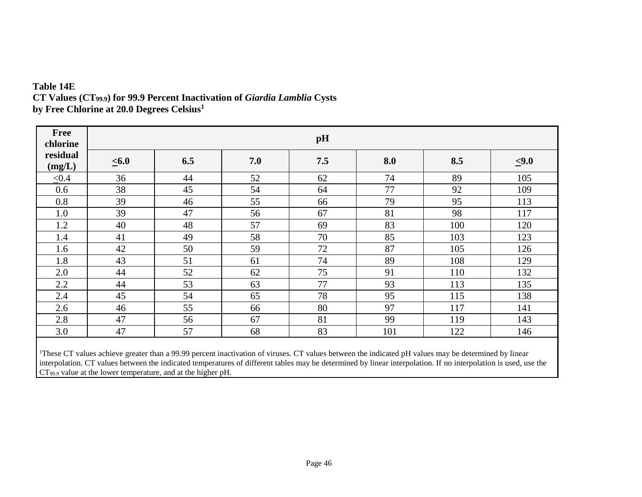### **Table 14E CT Values (CT99.9) for 99.9 Percent Inactivation of** *Giardia Lamblia* **Cysts by Free Chlorine at 20.0 Degrees Celsius<sup>1</sup>**

| <b>Free</b><br>chlorine |         |     |     | pH  |     |     |            |
|-------------------------|---------|-----|-----|-----|-----|-----|------------|
| residual<br>(mg/L)      | $≤ 6.0$ | 6.5 | 7.0 | 7.5 | 8.0 | 8.5 | $\leq 9.0$ |
| $\leq 0.4$              | 36      | 44  | 52  | 62  | 74  | 89  | 105        |
| 0.6                     | 38      | 45  | 54  | 64  | 77  | 92  | 109        |
| 0.8                     | 39      | 46  | 55  | 66  | 79  | 95  | 113        |
| 1.0                     | 39      | 47  | 56  | 67  | 81  | 98  | 117        |
| 1.2                     | 40      | 48  | 57  | 69  | 83  | 100 | 120        |
| 1.4                     | 41      | 49  | 58  | 70  | 85  | 103 | 123        |
| 1.6                     | 42      | 50  | 59  | 72  | 87  | 105 | 126        |
| 1.8                     | 43      | 51  | 61  | 74  | 89  | 108 | 129        |
| 2.0                     | 44      | 52  | 62  | 75  | 91  | 110 | 132        |
| 2.2                     | 44      | 53  | 63  | 77  | 93  | 113 | 135        |
| 2.4                     | 45      | 54  | 65  | 78  | 95  | 115 | 138        |
| 2.6                     | 46      | 55  | 66  | 80  | 97  | 117 | 141        |
| 2.8                     | 47      | 56  | 67  | 81  | 99  | 119 | 143        |
| 3.0                     | 47      | 57  | 68  | 83  | 101 | 122 | 146        |

<sup>1</sup>These CT values achieve greater than a 99.99 percent inactivation of viruses. CT values between the indicated pH values may be determined by linear interpolation. CT values between the indicated temperatures of different tables may be determined by linear interpolation. If no interpolation is used, use the  $CT_{99.9}$  value at the lower temperature, and at the higher pH.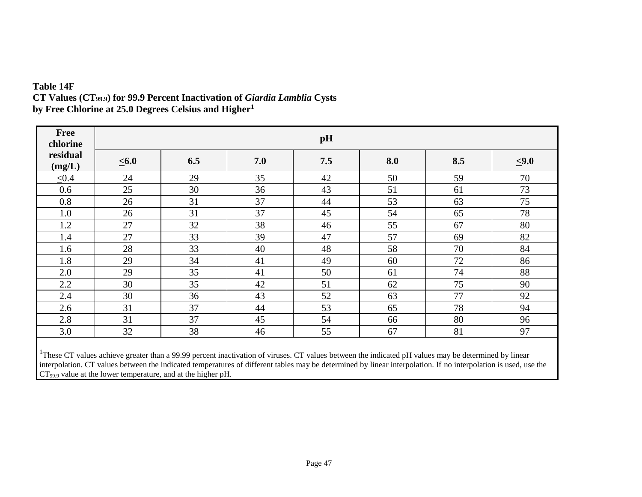| Free<br>chlorine   | pH      |     |     |     |     |     |            |  |  |  |  |  |
|--------------------|---------|-----|-----|-----|-----|-----|------------|--|--|--|--|--|
| residual<br>(mg/L) | $≤ 6.0$ | 6.5 | 7.0 | 7.5 | 8.0 | 8.5 | $\leq 9.0$ |  |  |  |  |  |
| ${\leq}0.4$        | 24      | 29  | 35  | 42  | 50  | 59  | 70         |  |  |  |  |  |
| 0.6                | 25      | 30  | 36  | 43  | 51  | 61  | 73         |  |  |  |  |  |
| 0.8                | 26      | 31  | 37  | 44  | 53  | 63  | 75         |  |  |  |  |  |
| 1.0                | 26      | 31  | 37  | 45  | 54  | 65  | 78         |  |  |  |  |  |
| 1.2                | 27      | 32  | 38  | 46  | 55  | 67  | 80         |  |  |  |  |  |
| 1.4                | 27      | 33  | 39  | 47  | 57  | 69  | 82         |  |  |  |  |  |
| 1.6                | 28      | 33  | 40  | 48  | 58  | 70  | 84         |  |  |  |  |  |
| 1.8                | 29      | 34  | 41  | 49  | 60  | 72  | 86         |  |  |  |  |  |
| 2.0                | 29      | 35  | 41  | 50  | 61  | 74  | 88         |  |  |  |  |  |
| 2.2                | 30      | 35  | 42  | 51  | 62  | 75  | 90         |  |  |  |  |  |
| 2.4                | 30      | 36  | 43  | 52  | 63  | 77  | 92         |  |  |  |  |  |
| 2.6                | 31      | 37  | 44  | 53  | 65  | 78  | 94         |  |  |  |  |  |
| 2.8                | 31      | 37  | 45  | 54  | 66  | 80  | 96         |  |  |  |  |  |
| 3.0                | 32      | 38  | 46  | 55  | 67  | 81  | 97         |  |  |  |  |  |

### **Table 14F CT Values (CT99.9) for 99.9 Percent Inactivation of** *Giardia Lamblia* **Cysts by Free Chlorine at 25.0 Degrees Celsius and Higher<sup>1</sup>**

<sup>1</sup>These CT values achieve greater than a 99.99 percent inactivation of viruses. CT values between the indicated pH values may be determined by linear interpolation. CT values between the indicated temperatures of different tables may be determined by linear interpolation. If no interpolation is used, use the CT99.9 value at the lower temperature, and at the higher pH.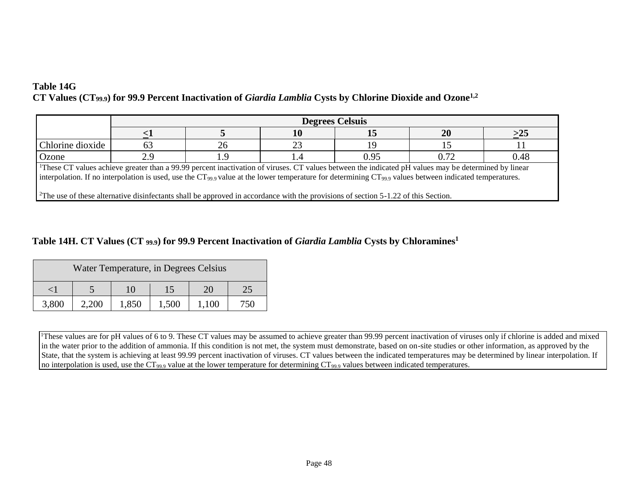### **Table 14G CT Values (CT99.9) for 99.9 Percent Inactivation of** *Giardia Lamblia* **Cysts by Chlorine Dioxide and Ozone1,2**

|                                                                                                                                                                                                                                                                                                                                       | <b>Degrees Celsuis</b> |    |    |      |           |      |  |  |  |
|---------------------------------------------------------------------------------------------------------------------------------------------------------------------------------------------------------------------------------------------------------------------------------------------------------------------------------------|------------------------|----|----|------|-----------|------|--|--|--|
|                                                                                                                                                                                                                                                                                                                                       |                        |    |    |      | <b>20</b> |      |  |  |  |
| Chlorine dioxide                                                                                                                                                                                                                                                                                                                      | 63                     | 26 | 23 | 19   |           |      |  |  |  |
| Ozone                                                                                                                                                                                                                                                                                                                                 | 2.9                    |    |    | 0.95 | 0.72      | 0.48 |  |  |  |
| <sup>1</sup> These CT values achieve greater than a 99.99 percent inactivation of viruses. CT values between the indicated pH values may be determined by linear<br>interpolation. If no interpolation is used, use the $CT_{99.9}$ value at the lower temperature for determining $CT_{99.9}$ values between indicated temperatures. |                        |    |    |      |           |      |  |  |  |
| <sup>2</sup> The use of these alternative disinfectants shall be approved in accordance with the provisions of section $5-1.22$ of this Section.                                                                                                                                                                                      |                        |    |    |      |           |      |  |  |  |

### **Table 14H. CT Values (CT 99.9) for 99.9 Percent Inactivation of** *Giardia Lamblia* **Cysts by Chloramines<sup>1</sup>**

| Water Temperature, in Degrees Celsius |                                         |  |  |  |  |  |  |
|---------------------------------------|-----------------------------------------|--|--|--|--|--|--|
| $\leq$ 1                              | 15<br>10<br>25<br>20                    |  |  |  |  |  |  |
| 3,800                                 | 1,850<br>2,200<br>750<br>1,500<br>1,100 |  |  |  |  |  |  |

<sup>1</sup>These values are for pH values of 6 to 9. These CT values may be assumed to achieve greater than 99.99 percent inactivation of viruses only if chlorine is added and mixed in the water prior to the addition of ammonia. If this condition is not met, the system must demonstrate, based on on-site studies or other information, as approved by the State, that the system is achieving at least 99.99 percent inactivation of viruses. CT values between the indicated temperatures may be determined by linear interpolation. If no interpolation is used, use the  $\overline{CT}_{99.9}$  value at the lower temperature for determining  $CT_{99.9}$  values between indicated temperatures.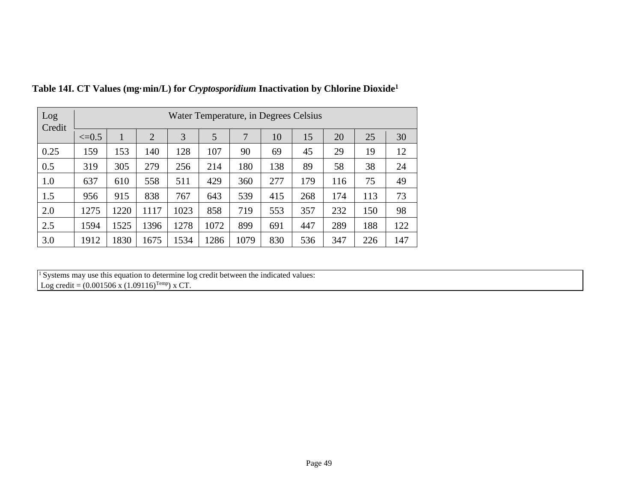| Log<br>Credit | Water Temperature, in Degrees Celsius |      |      |      |      |      |     |     |     |     |     |
|---------------|---------------------------------------|------|------|------|------|------|-----|-----|-----|-----|-----|
|               | $\leq=0.5$                            | 1    | 2    | 3    | 5    | 7    | 10  | 15  | 20  | 25  | 30  |
| 0.25          | 159                                   | 153  | 140  | 128  | 107  | 90   | 69  | 45  | 29  | 19  | 12  |
| 0.5           | 319                                   | 305  | 279  | 256  | 214  | 180  | 138 | 89  | 58  | 38  | 24  |
| 1.0           | 637                                   | 610  | 558  | 511  | 429  | 360  | 277 | 179 | 116 | 75  | 49  |
| 1.5           | 956                                   | 915  | 838  | 767  | 643  | 539  | 415 | 268 | 174 | 113 | 73  |
| 2.0           | 1275                                  | 1220 | 1117 | 1023 | 858  | 719  | 553 | 357 | 232 | 150 | 98  |
| 2.5           | 1594                                  | 1525 | 1396 | 1278 | 1072 | 899  | 691 | 447 | 289 | 188 | 122 |
| 3.0           | 1912                                  | 1830 | 1675 | 1534 | 1286 | 1079 | 830 | 536 | 347 | 226 | 147 |

## **Table 14I. CT Values (mg·min/L) for** *Cryptosporidium* **Inactivation by Chlorine Dioxide<sup>1</sup>**

 $1$  Systems may use this equation to determine log credit between the indicated values: Log credit =  $(0.001506 \text{ x } (1.09116)^{\text{Temp}}) \text{ x CT}.$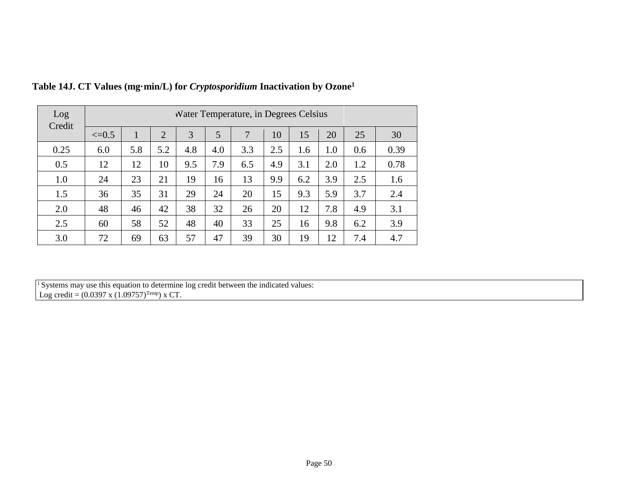| Log<br>Credit | Water Temperature, in Degrees Celsius |     |                |     |     |     |     |     |     |     |      |
|---------------|---------------------------------------|-----|----------------|-----|-----|-----|-----|-----|-----|-----|------|
|               | $\leq=0.5$                            | 1   | $\overline{2}$ | 3   | 5   | 7   | 10  | 15  | 20  | 25  | 30   |
| 0.25          | 6.0                                   | 5.8 | 5.2            | 4.8 | 4.0 | 3.3 | 2.5 | 1.6 | 1.0 | 0.6 | 0.39 |
| 0.5           | 12                                    | 12  | 10             | 9.5 | 7.9 | 6.5 | 4.9 | 3.1 | 2.0 | 1.2 | 0.78 |
| 1.0           | 24                                    | 23  | 21             | 19  | 16  | 13  | 9.9 | 6.2 | 3.9 | 2.5 | 1.6  |
| 1.5           | 36                                    | 35  | 31             | 29  | 24  | 20  | 15  | 9.3 | 5.9 | 3.7 | 2.4  |
| 2.0           | 48                                    | 46  | 42             | 38  | 32  | 26  | 20  | 12  | 7.8 | 4.9 | 3.1  |
| 2.5           | 60                                    | 58  | 52             | 48  | 40  | 33  | 25  | 16  | 9.8 | 6.2 | 3.9  |
| 3.0           | 72                                    | 69  | 63             | 57  | 47  | 39  | 30  | 19  | 12  | 7.4 | 4.7  |

## **Table 14J. CT Values (mg·min/L) for** *Cryptosporidium* **Inactivation by Ozone<sup>1</sup>**

 $1$  Systems may use this equation to determine log credit between the indicated values: Log credit =  $(0.0397 \times (1.09757)^{Temp}) \times CT$ .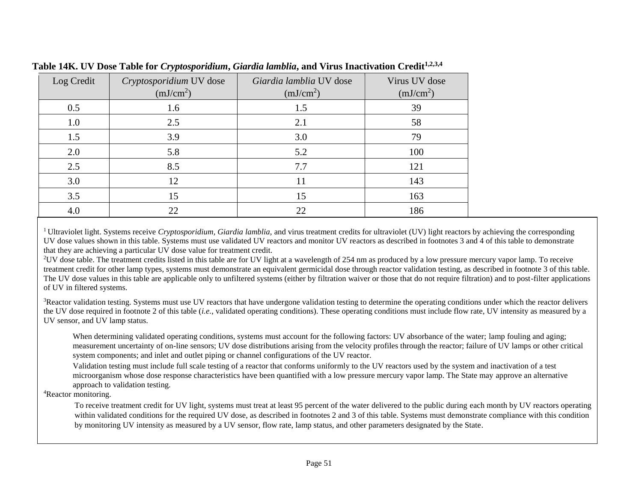| Log Credit | Cryptosporidium UV dose<br>(mJ/cm <sup>2</sup> ) | Giardia lamblia UV dose<br>(mJ/cm <sup>2</sup> ) | Virus UV dose<br>(mJ/cm <sup>2</sup> ) |
|------------|--------------------------------------------------|--------------------------------------------------|----------------------------------------|
| 0.5        | 1.6                                              | 1.5                                              | 39                                     |
| 1.0        | 2.5                                              | 2.1                                              | 58                                     |
| 1.5        | 3.9                                              | 3.0                                              | 79                                     |
| 2.0        | 5.8                                              | 5.2                                              | 100                                    |
| 2.5        | 8.5                                              | 7.7                                              | 121                                    |
| 3.0        | 12                                               | 11                                               | 143                                    |
| 3.5        | 15                                               | 15                                               | 163                                    |
| 4.0        | 22                                               | 22                                               | 186                                    |

**Table 14K. UV Dose Table for** *Cryptosporidium***,** *Giardia lamblia***, and Virus Inactivation Credit1,2,3,4**

<sup>1</sup> Ultraviolet light. Systems receive *Cryptosporidium, Giardia lamblia*, and virus treatment credits for ultraviolet (UV) light reactors by achieving the corresponding UV dose values shown in this table. Systems must use validated UV reactors and monitor UV reactors as described in footnotes 3 and 4 of this table to demonstrate that they are achieving a particular UV dose value for treatment credit.

<sup>2</sup>UV dose table. The treatment credits listed in this table are for UV light at a wavelength of 254 nm as produced by a low pressure mercury vapor lamp. To receive treatment credit for other lamp types, systems must demonstrate an equivalent germicidal dose through reactor validation testing, as described in footnote 3 of this table. The UV dose values in this table are applicable only to unfiltered systems (either by filtration waiver or those that do not require filtration) and to post-filter applications of UV in filtered systems.

<sup>3</sup>Reactor validation testing. Systems must use UV reactors that have undergone validation testing to determine the operating conditions under which the reactor delivers the UV dose required in footnote 2 of this table (*i.e.*, validated operating conditions). These operating conditions must include flow rate, UV intensity as measured by a UV sensor, and UV lamp status.

When determining validated operating conditions, systems must account for the following factors: UV absorbance of the water; lamp fouling and aging; measurement uncertainty of on-line sensors; UV dose distributions arising from the velocity profiles through the reactor; failure of UV lamps or other critical system components; and inlet and outlet piping or channel configurations of the UV reactor.

Validation testing must include full scale testing of a reactor that conforms uniformly to the UV reactors used by the system and inactivation of a test microorganism whose dose response characteristics have been quantified with a low pressure mercury vapor lamp. The State may approve an alternative approach to validation testing.

#### <sup>4</sup>Reactor monitoring.

To receive treatment credit for UV light, systems must treat at least 95 percent of the water delivered to the public during each month by UV reactors operating within validated conditions for the required UV dose, as described in footnotes 2 and 3 of this table. Systems must demonstrate compliance with this condition by monitoring UV intensity as measured by a UV sensor, flow rate, lamp status, and other parameters designated by the State.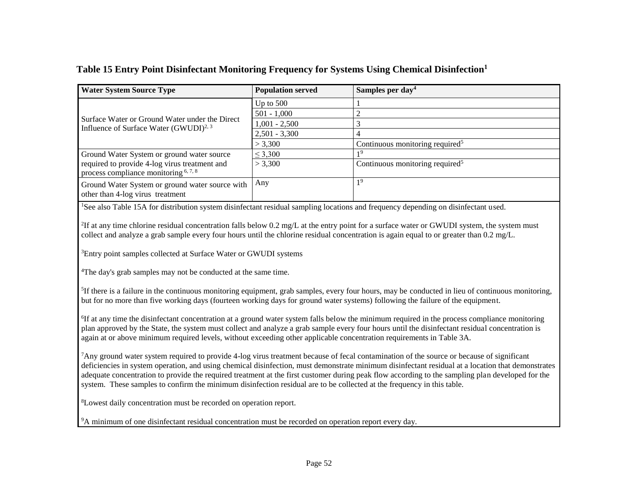| <b>Water System Source Type</b>                                                              | <b>Population served</b> | Samples per day <sup>4</sup>                |
|----------------------------------------------------------------------------------------------|--------------------------|---------------------------------------------|
|                                                                                              | Up to $500$              |                                             |
|                                                                                              | $501 - 1,000$            |                                             |
| Surface Water or Ground Water under the Direct<br>Influence of Surface Water $(GWUDI)^{2,3}$ | $1,001 - 2,500$          |                                             |
|                                                                                              | $2,501 - 3,300$          |                                             |
|                                                                                              | > 3,300                  | Continuous monitoring required <sup>5</sup> |
| Ground Water System or ground water source                                                   | $\leq 3,300$             |                                             |
| required to provide 4-log virus treatment and<br>process compliance monitoring $6, 7, 8$     | > 3,300                  | Continuous monitoring required <sup>5</sup> |
| Ground Water System or ground water source with<br>other than 4-log virus treatment          | Any                      | 19                                          |

#### **Table 15 Entry Point Disinfectant Monitoring Frequency for Systems Using Chemical Disinfection<sup>1</sup>**

<sup>1</sup>See also Table 15A for distribution system disinfectant residual sampling locations and frequency depending on disinfectant used.

 ${}^{2}$ If at any time chlorine residual concentration falls below 0.2 mg/L at the entry point for a surface water or GWUDI system, the system must collect and analyze a grab sample every four hours until the chlorine residual concentration is again equal to or greater than 0.2 mg/L.

<sup>3</sup>Entry point samples collected at Surface Water or GWUDI systems

<sup>4</sup>The day's grab samples may not be conducted at the same time.

<sup>5</sup>If there is a failure in the continuous monitoring equipment, grab samples, every four hours, may be conducted in lieu of continuous monitoring, but for no more than five working days (fourteen working days for ground water systems) following the failure of the equipment.

<sup>6</sup>If at any time the disinfectant concentration at a ground water system falls below the minimum required in the process compliance monitoring plan approved by the State, the system must collect and analyze a grab sample every four hours until the disinfectant residual concentration is again at or above minimum required levels, without exceeding other applicable concentration requirements in Table 3A.

 $<sup>7</sup>$ Any ground water system required to provide 4-log virus treatment because of fecal contamination of the source or because of significant</sup> deficiencies in system operation, and using chemical disinfection, must demonstrate minimum disinfectant residual at a location that demonstrates adequate concentration to provide the required treatment at the first customer during peak flow according to the sampling plan developed for the system. These samples to confirm the minimum disinfection residual are to be collected at the frequency in this table.

<sup>8</sup>Lowest daily concentration must be recorded on operation report.

9A minimum of one disinfectant residual concentration must be recorded on operation report every day.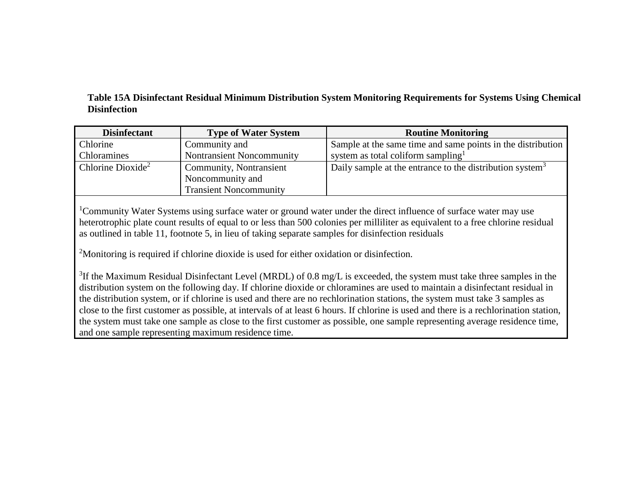## **Table 15A Disinfectant Residual Minimum Distribution System Monitoring Requirements for Systems Using Chemical Disinfection**

| <b>Disinfectant</b>           | <b>Type of Water System</b>      | <b>Routine Monitoring</b>                                            |
|-------------------------------|----------------------------------|----------------------------------------------------------------------|
| Chlorine                      | Community and                    | Sample at the same time and same points in the distribution          |
| Chloramines                   | <b>Nontransient Noncommunity</b> | system as total coliform sampling <sup>1</sup>                       |
| Chlorine Dioxide <sup>2</sup> | Community, Nontransient          | Daily sample at the entrance to the distribution system <sup>3</sup> |
|                               | Noncommunity and                 |                                                                      |
|                               | <b>Transient Noncommunity</b>    |                                                                      |

<sup>1</sup>Community Water Systems using surface water or ground water under the direct influence of surface water may use heterotrophic plate count results of equal to or less than 500 colonies per milliliter as equivalent to a free chlorine residual as outlined in table 11, footnote 5, in lieu of taking separate samples for disinfection residuals

<sup>2</sup>Monitoring is required if chlorine dioxide is used for either oxidation or disinfection.

<sup>3</sup>If the Maximum Residual Disinfectant Level (MRDL) of 0.8 mg/L is exceeded, the system must take three samples in the distribution system on the following day. If chlorine dioxide or chloramines are used to maintain a disinfectant residual in the distribution system, or if chlorine is used and there are no rechlorination stations, the system must take 3 samples as close to the first customer as possible, at intervals of at least 6 hours. If chlorine is used and there is a rechlorination station, the system must take one sample as close to the first customer as possible, one sample representing average residence time, and one sample representing maximum residence time.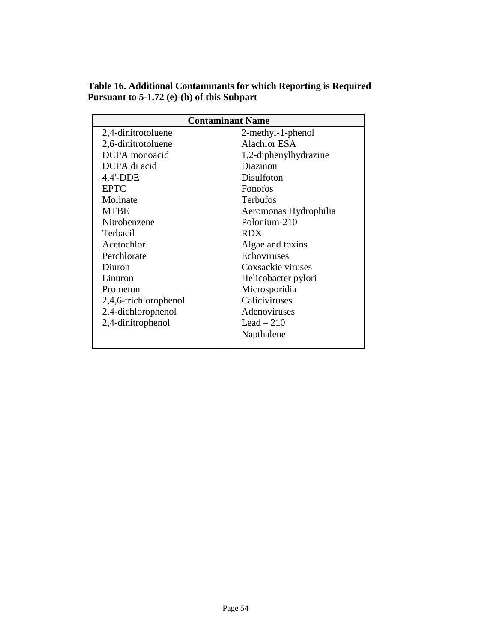| Table 16. Additional Contaminants for which Reporting is Required |  |  |
|-------------------------------------------------------------------|--|--|
| Pursuant to $5-1.72$ (e)-(h) of this Subpart                      |  |  |

| <b>Contaminant Name</b> |                       |  |
|-------------------------|-----------------------|--|
| 2,4-dinitrotoluene      | 2-methyl-1-phenol     |  |
| 2,6-dinitrotoluene      | <b>Alachlor ESA</b>   |  |
| DCPA monoacid           | 1,2-diphenylhydrazine |  |
| DCPA di acid            | Diazinon              |  |
| $4,4'-DDE$              | Disulfoton            |  |
| <b>EPTC</b>             | Fonofos               |  |
| Molinate                | <b>Terbufos</b>       |  |
| <b>MTBE</b>             | Aeromonas Hydrophilia |  |
| Nitrobenzene            | Polonium-210          |  |
| Terbacil                | <b>RDX</b>            |  |
| Acetochlor              | Algae and toxins      |  |
| Perchlorate             | Echoviruses           |  |
| Diuron                  | Coxsackie viruses     |  |
| Linuron                 | Helicobacter pylori   |  |
| Prometon                | Microsporidia         |  |
| 2,4,6-trichlorophenol   | Caliciviruses         |  |
| 2,4-dichlorophenol      | Adenoviruses          |  |
| 2,4-dinitrophenol       | Lead $-210$           |  |
|                         | Napthalene            |  |
|                         |                       |  |